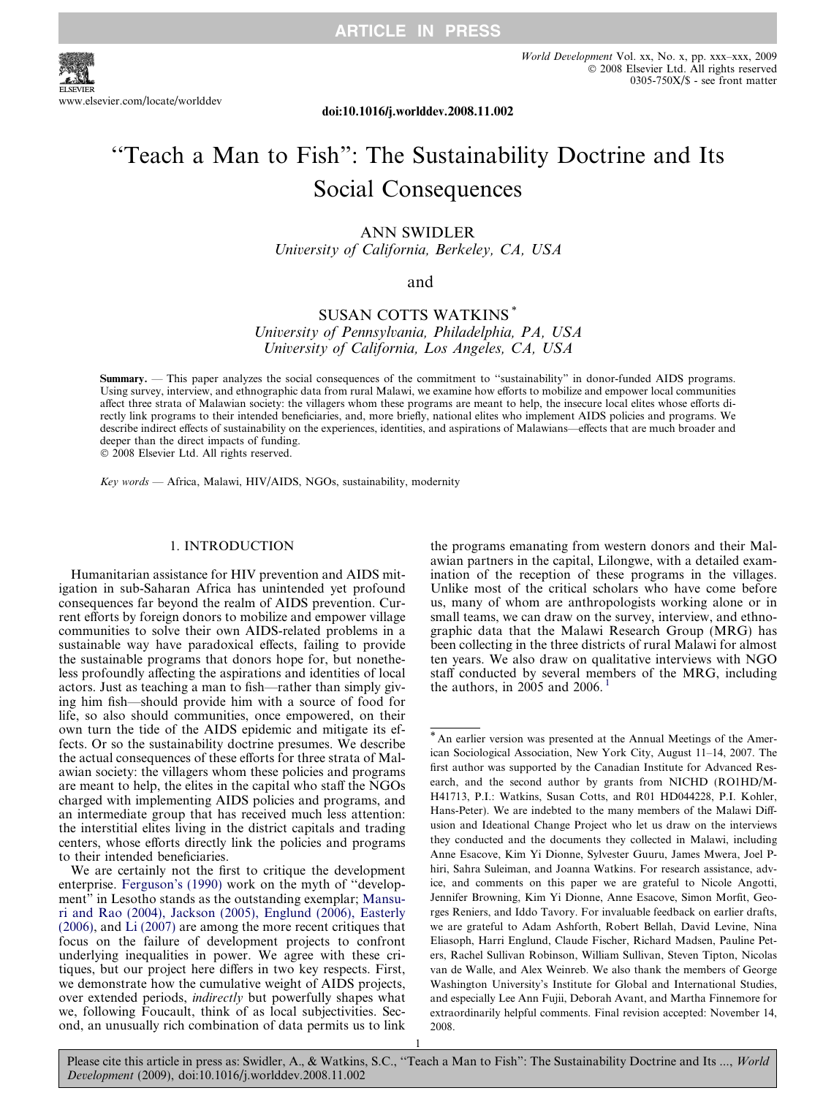

World Development Vol. xx, No. x, pp. xxx–xxx, 2009 © 2008 Elsevier Ltd. All rights reserved 0305-750X/\$ - see front matter

doi:10.1016/j.worlddev.2008.11.002

# ''Teach a Man to Fish": The Sustainability Doctrine and Its Social Consequences

# ANN SWIDLER

University of California, Berkeley, CA, USA

# and

# SUSAN COTTS WATKINS \* University of Pennsylvania, Philadelphia, PA, USA University of California, Los Angeles, CA, USA

Summary. — This paper analyzes the social consequences of the commitment to ''sustainability" in donor-funded AIDS programs. Using survey, interview, and ethnographic data from rural Malawi, we examine how efforts to mobilize and empower local communities affect three strata of Malawian society: the villagers whom these programs are meant to help, the insecure local elites whose efforts directly link programs to their intended beneficiaries, and, more briefly, national elites who implement AIDS policies and programs. We describe indirect effects of sustainability on the experiences, identities, and aspirations of Malawians—effects that are much broader and deeper than the direct impacts of funding.

- 2008 Elsevier Ltd. All rights reserved.

Key words — Africa, Malawi, HIV/AIDS, NGOs, sustainability, modernity

# 1. INTRODUCTION

Humanitarian assistance for HIV prevention and AIDS mitigation in sub-Saharan Africa has unintended yet profound consequences far beyond the realm of AIDS prevention. Current efforts by foreign donors to mobilize and empower village communities to solve their own AIDS-related problems in a sustainable way have paradoxical effects, failing to provide the sustainable programs that donors hope for, but nonetheless profoundly affecting the aspirations and identities of local actors. Just as teaching a man to fish—rather than simply giving him fish—should provide him with a source of food for life, so also should communities, once empowered, on their own turn the tide of the AIDS epidemic and mitigate its effects. Or so the sustainability doctrine presumes. We describe the actual consequences of these efforts for three strata of Malawian society: the villagers whom these policies and programs are meant to help, the elites in the capital who staff the NGOs charged with implementing AIDS policies and programs, and an intermediate group that has received much less attention: the interstitial elites living in the district capitals and trading centers, whose efforts directly link the policies and programs to their intended beneficiaries.

We are certainly not the first to critique the development enterprise. [Ferguson's \(1990\)](#page-13-0) work on the myth of ''develop-ment" in Lesotho stands as the outstanding exemplar; [Mansu](#page-13-0)[ri and Rao \(2004\), Jackson \(2005\), Englund \(2006\), Easterly](#page-13-0) [\(2006\),](#page-13-0) and [Li \(2007\)](#page-13-0) are among the more recent critiques that focus on the failure of development projects to confront underlying inequalities in power. We agree with these critiques, but our project here differs in two key respects. First, we demonstrate how the cumulative weight of AIDS projects, over extended periods, indirectly but powerfully shapes what we, following Foucault, think of as local subjectivities. Second, an unusually rich combination of data permits us to link the programs emanating from western donors and their Malawian partners in the capital, Lilongwe, with a detailed examination of the reception of these programs in the villages. Unlike most of the critical scholars who have come before us, many of whom are anthropologists working alone or in small teams, we can draw on the survey, interview, and ethnographic data that the Malawi Research Group (MRG) has been collecting in the three districts of rural Malawi for almost ten years. We also draw on qualitative interviews with NGO staff conducted by several members of the MRG, including the authors, in 2005 and 2006.

<sup>\*</sup> An earlier version was presented at the Annual Meetings of the American Sociological Association, New York City, August 11–14, 2007. The first author was supported by the Canadian Institute for Advanced Research, and the second author by grants from NICHD (RO1HD/M-H41713, P.I.: Watkins, Susan Cotts, and R01 HD044228, P.I. Kohler, Hans-Peter). We are indebted to the many members of the Malawi Diffusion and Ideational Change Project who let us draw on the interviews they conducted and the documents they collected in Malawi, including Anne Esacove, Kim Yi Dionne, Sylvester Guuru, James Mwera, Joel Phiri, Sahra Suleiman, and Joanna Watkins. For research assistance, advice, and comments on this paper we are grateful to Nicole Angotti, Jennifer Browning, Kim Yi Dionne, Anne Esacove, Simon Morfit, Georges Reniers, and Iddo Tavory. For invaluable feedback on earlier drafts, we are grateful to Adam Ashforth, Robert Bellah, David Levine, Nina Eliasoph, Harri Englund, Claude Fischer, Richard Madsen, Pauline Peters, Rachel Sullivan Robinson, William Sullivan, Steven Tipton, Nicolas van de Walle, and Alex Weinreb. We also thank the members of George Washington University's Institute for Global and International Studies, and especially Lee Ann Fujii, Deborah Avant, and Martha Finnemore for extraordinarily helpful comments. Final revision accepted: November 14, 2008.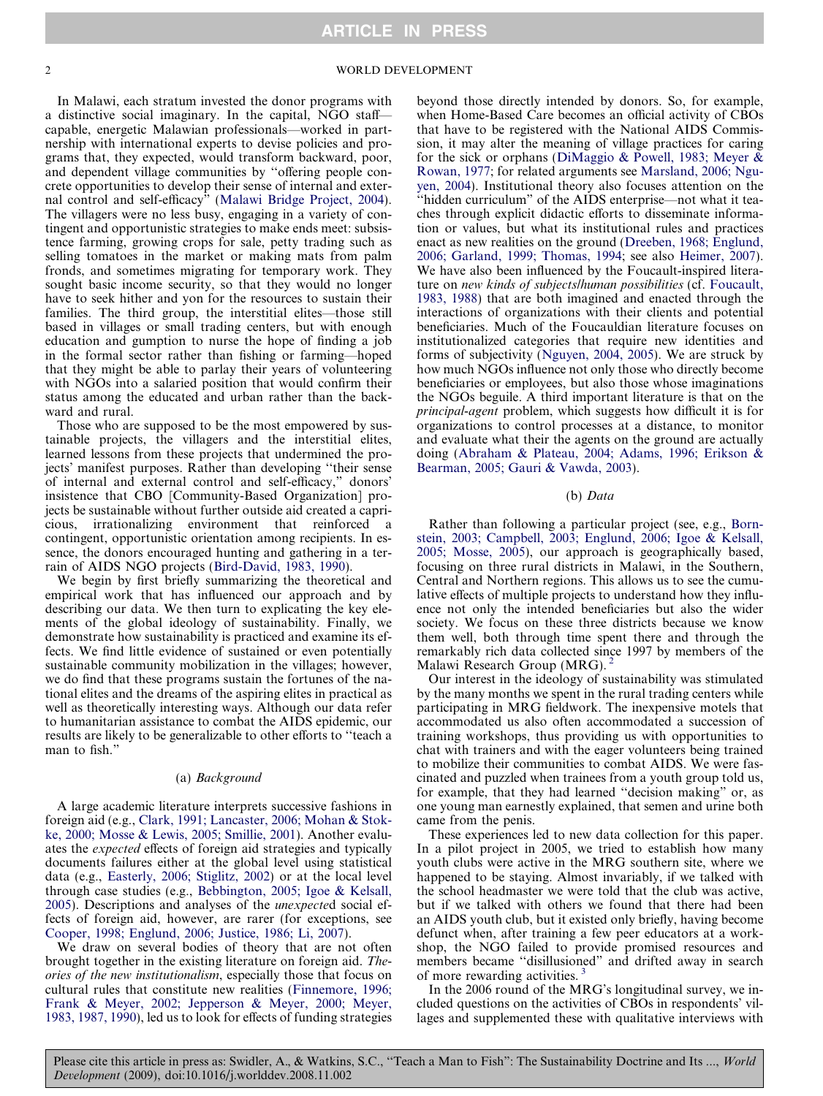In Malawi, each stratum invested the donor programs with a distinctive social imaginary. In the capital, NGO staff capable, energetic Malawian professionals—worked in partnership with international experts to devise policies and programs that, they expected, would transform backward, poor, and dependent village communities by ''offering people concrete opportunities to develop their sense of internal and external control and self-efficacy" [\(Malawi Bridge Project, 2004](#page-13-0)). The villagers were no less busy, engaging in a variety of contingent and opportunistic strategies to make ends meet: subsistence farming, growing crops for sale, petty trading such as selling tomatoes in the market or making mats from palm fronds, and sometimes migrating for temporary work. They sought basic income security, so that they would no longer have to seek hither and yon for the resources to sustain their families. The third group, the interstitial elites—those still based in villages or small trading centers, but with enough education and gumption to nurse the hope of finding a job in the formal sector rather than fishing or farming—hoped that they might be able to parlay their years of volunteering with NGOs into a salaried position that would confirm their status among the educated and urban rather than the backward and rural.

Those who are supposed to be the most empowered by sustainable projects, the villagers and the interstitial elites, learned lessons from these projects that undermined the projects' manifest purposes. Rather than developing ''their sense of internal and external control and self-efficacy," donors' insistence that CBO [Community-Based Organization] projects be sustainable without further outside aid created a capricious, irrationalizing environment that reinforced a contingent, opportunistic orientation among recipients. In essence, the donors encouraged hunting and gathering in a terrain of AIDS NGO projects ([Bird-David, 1983, 1990\)](#page-13-0).

We begin by first briefly summarizing the theoretical and empirical work that has influenced our approach and by describing our data. We then turn to explicating the key elements of the global ideology of sustainability. Finally, we demonstrate how sustainability is practiced and examine its effects. We find little evidence of sustained or even potentially sustainable community mobilization in the villages; however, we do find that these programs sustain the fortunes of the national elites and the dreams of the aspiring elites in practical as well as theoretically interesting ways. Although our data refer to humanitarian assistance to combat the AIDS epidemic, our results are likely to be generalizable to other efforts to ''teach a man to fish."

#### (a) Background

A large academic literature interprets successive fashions in foreign aid (e.g., [Clark, 1991; Lancaster, 2006; Mohan & Stok](#page-13-0)[ke, 2000; Mosse & Lewis, 2005; Smillie, 2001](#page-13-0)). Another evaluates the expected effects of foreign aid strategies and typically documents failures either at the global level using statistical data (e.g., [Easterly, 2006; Stiglitz, 2002](#page-13-0)) or at the local level through case studies (e.g., [Bebbington, 2005; Igoe & Kelsall,](#page-12-0) [2005\)](#page-12-0). Descriptions and analyses of the unexpected social effects of foreign aid, however, are rarer (for exceptions, see [Cooper, 1998; Englund, 2006; Justice, 1986; Li, 2007](#page-13-0)).

We draw on several bodies of theory that are not often brought together in the existing literature on foreign aid. Theories of the new institutionalism, especially those that focus on cultural rules that constitute new realities ([Finnemore, 1996;](#page-13-0) [Frank & Meyer, 2002; Jepperson & Meyer, 2000; Meyer,](#page-13-0) [1983, 1987, 1990\)](#page-13-0), led us to look for effects of funding strategies

beyond those directly intended by donors. So, for example, when Home-Based Care becomes an official activity of CBOs that have to be registered with the National AIDS Commission, it may alter the meaning of village practices for caring for the sick or orphans [\(DiMaggio & Powell, 1983; Meyer &](#page-13-0) [Rowan, 1977;](#page-13-0) for related arguments see [Marsland, 2006; Ngu](#page-13-0)[yen, 2004\)](#page-13-0). Institutional theory also focuses attention on the ''hidden curriculum" of the AIDS enterprise—not what it teaches through explicit didactic efforts to disseminate information or values, but what its institutional rules and practices enact as new realities on the ground [\(Dreeben, 1968; Englund,](#page-13-0) [2006; Garland, 1999; Thomas, 1994](#page-13-0); see also [Heimer, 2007](#page-13-0)). We have also been influenced by the Foucault-inspired literature on new kinds of subjects/human possibilities (cf. [Foucault,](#page-13-0) [1983, 1988\)](#page-13-0) that are both imagined and enacted through the interactions of organizations with their clients and potential beneficiaries. Much of the Foucauldian literature focuses on institutionalized categories that require new identities and forms of subjectivity [\(Nguyen, 2004, 2005](#page-14-0)). We are struck by how much NGOs influence not only those who directly become beneficiaries or employees, but also those whose imaginations the NGOs beguile. A third important literature is that on the principal-agent problem, which suggests how difficult it is for organizations to control processes at a distance, to monitor and evaluate what their the agents on the ground are actually doing ([Abraham & Plateau, 2004; Adams, 1996; Erikson &](#page-12-0) [Bearman, 2005; Gauri & Vawda, 2003\)](#page-12-0).

#### (b) Data

Rather than following a particular project (see, e.g., [Born](#page-13-0)[stein, 2003; Campbell, 2003; Englund, 2006; Igoe & Kelsall,](#page-13-0) [2005; Mosse, 2005](#page-13-0)), our approach is geographically based, focusing on three rural districts in Malawi, in the Southern, Central and Northern regions. This allows us to see the cumulative effects of multiple projects to understand how they influence not only the intended beneficiaries but also the wider society. We focus on these three districts because we know them well, both through time spent there and through the remarkably rich data collected since 1997 by members of the Malawi Research Group (MRG).<sup>2</sup>

Our interest in the ideology of sustainability was stimulated by the many months we spent in the rural trading centers while participating in MRG fieldwork. The inexpensive motels that accommodated us also often accommodated a succession of training workshops, thus providing us with opportunities to chat with trainers and with the eager volunteers being trained to mobilize their communities to combat AIDS. We were fascinated and puzzled when trainees from a youth group told us, for example, that they had learned ''decision making" or, as one young man earnestly explained, that semen and urine both came from the penis.

These experiences led to new data collection for this paper. In a pilot project in 2005, we tried to establish how many youth clubs were active in the MRG southern site, where we happened to be staying. Almost invariably, if we talked with the school headmaster we were told that the club was active, but if we talked with others we found that there had been an AIDS youth club, but it existed only briefly, having become defunct when, after training a few peer educators at a workshop, the NGO failed to provide promised resources and members became ''disillusioned" and drifted away in search of more rewarding activities.

In the 2006 round of the MRG's longitudinal survey, we included questions on the activities of CBOs in respondents' villages and supplemented these with qualitative interviews with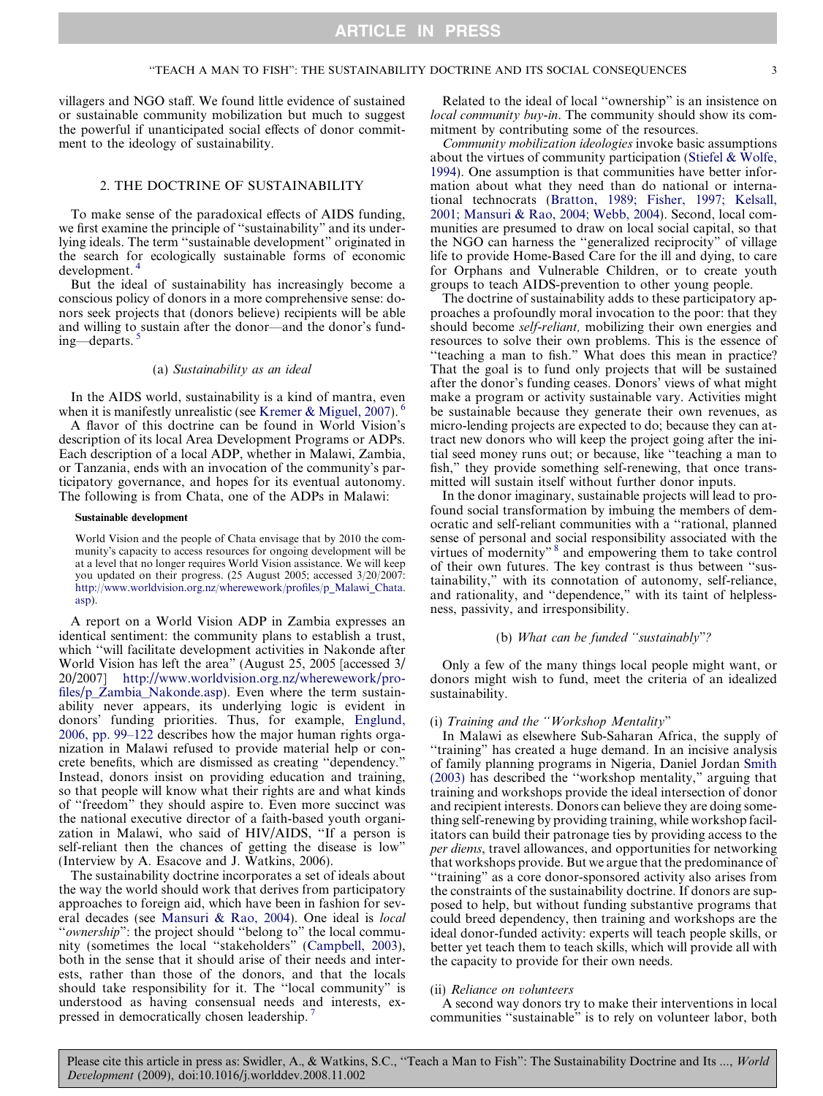# ''TEACH A MAN TO FISH": THE SUSTAINABILITY DOCTRINE AND ITS SOCIAL CONSEQUENCES 3

villagers and NGO staff. We found little evidence of sustained or sustainable community mobilization but much to suggest the powerful if unanticipated social effects of donor commitment to the ideology of sustainability.

#### 2. THE DOCTRINE OF SUSTAINABILITY

To make sense of the paradoxical effects of AIDS funding, we first examine the principle of ''sustainability" and its underlying ideals. The term ''sustainable development" originated in the search for ecologically sustainable forms of economic development.

But the ideal of sustainability has increasingly become a conscious policy of donors in a more comprehensive sense: donors seek projects that (donors believe) recipients will be able and willing to sustain after the donor—and the donor's funding—departs. <sup>5</sup>

#### (a) Sustainability as an ideal

In the AIDS world, sustainability is a kind of mantra, even when it is manifestly unrealistic (see [Kremer & Miguel, 2007\)](#page-13-0).

A flavor of this doctrine can be found in World Vision's description of its local Area Development Programs or ADPs. Each description of a local ADP, whether in Malawi, Zambia, or Tanzania, ends with an invocation of the community's participatory governance, and hopes for its eventual autonomy. The following is from Chata, one of the ADPs in Malawi:

#### Sustainable development

World Vision and the people of Chata envisage that by 2010 the community's capacity to access resources for ongoing development will be at a level that no longer requires World Vision assistance. We will keep you updated on their progress. (25 August 2005; accessed 3/20/2007: [http://www.worldvision.org.nz/wherewework/profiles/p\\_Malawi\\_Chata.](http://www.worldvision.org.nz/wherewework/profiles/p_Malawi_Chata.asp) [asp\)](http://www.worldvision.org.nz/wherewework/profiles/p_Malawi_Chata.asp).

A report on a World Vision ADP in Zambia expresses an identical sentiment: the community plans to establish a trust, which ''will facilitate development activities in Nakonde after World Vision has left the area" (August 25, 2005 [accessed 3/ 20/2007] [http://www.worldvision.org.nz/wherewework/pro](http://www.worldvision.org.nz/wherewework/profiles/p_Zambia_Nakonde.asp)[files/p\\_Zambia\\_Nakonde.asp](http://www.worldvision.org.nz/wherewework/profiles/p_Zambia_Nakonde.asp)). Even where the term sustainability never appears, its underlying logic is evident in donors' funding priorities. Thus, for example, [Englund,](#page-13-0) [2006, pp. 99–122](#page-13-0) describes how the major human rights organization in Malawi refused to provide material help or concrete benefits, which are dismissed as creating ''dependency." Instead, donors insist on providing education and training, so that people will know what their rights are and what kinds of ''freedom" they should aspire to. Even more succinct was the national executive director of a faith-based youth organization in Malawi, who said of HIV/AIDS, ''If a person is self-reliant then the chances of getting the disease is low" (Interview by A. Esacove and J. Watkins, 2006).

The sustainability doctrine incorporates a set of ideals about the way the world should work that derives from participatory approaches to foreign aid, which have been in fashion for several decades (see [Mansuri & Rao, 2004\)](#page-13-0). One ideal is local "ownership": the project should "belong to" the local community (sometimes the local ''stakeholders" ([Campbell, 2003\)](#page-13-0), both in the sense that it should arise of their needs and interests, rather than those of the donors, and that the locals should take responsibility for it. The ''local community" is understood as having consensual needs and interests, expressed in democratically chosen leadership.

Related to the ideal of local ''ownership" is an insistence on local community buy-in. The community should show its commitment by contributing some of the resources.

Community mobilization ideologies invoke basic assumptions about the virtues of community participation ([Stiefel & Wolfe,](#page-14-0) [1994](#page-14-0)). One assumption is that communities have better information about what they need than do national or international technocrats ([Bratton, 1989; Fisher, 1997; Kelsall,](#page-13-0) [2001; Mansuri & Rao, 2004; Webb, 2004\)](#page-13-0). Second, local communities are presumed to draw on local social capital, so that the NGO can harness the ''generalized reciprocity" of village life to provide Home-Based Care for the ill and dying, to care for Orphans and Vulnerable Children, or to create youth groups to teach AIDS-prevention to other young people.

The doctrine of sustainability adds to these participatory approaches a profoundly moral invocation to the poor: that they should become *self-reliant*, mobilizing their own energies and resources to solve their own problems. This is the essence of ''teaching a man to fish." What does this mean in practice? That the goal is to fund only projects that will be sustained after the donor's funding ceases. Donors' views of what might make a program or activity sustainable vary. Activities might be sustainable because they generate their own revenues, as micro-lending projects are expected to do; because they can attract new donors who will keep the project going after the initial seed money runs out; or because, like ''teaching a man to fish," they provide something self-renewing, that once transmitted will sustain itself without further donor inputs.

In the donor imaginary, sustainable projects will lead to profound social transformation by imbuing the members of democratic and self-reliant communities with a ''rational, planned sense of personal and social responsibility associated with the virtues of modernity" <sup>8</sup> and empowering them to take control of their own futures. The key contrast is thus between ''sustainability," with its connotation of autonomy, self-reliance, and rationality, and ''dependence," with its taint of helplessness, passivity, and irresponsibility.

#### (b) What can be funded ''sustainably"?

Only a few of the many things local people might want, or donors might wish to fund, meet the criteria of an idealized sustainability.

## (i) Training and the ''Workshop Mentality"

In Malawi as elsewhere Sub-Saharan Africa, the supply of ''training" has created a huge demand. In an incisive analysis of family planning programs in Nigeria, Daniel Jordan [Smith](#page-14-0) [\(2003\)](#page-14-0) has described the ''workshop mentality," arguing that training and workshops provide the ideal intersection of donor and recipient interests. Donors can believe they are doing something self-renewing by providing training, while workshop facilitators can build their patronage ties by providing access to the per diems, travel allowances, and opportunities for networking that workshops provide. But we argue that the predominance of ''training" as a core donor-sponsored activity also arises from the constraints of the sustainability doctrine. If donors are supposed to help, but without funding substantive programs that could breed dependency, then training and workshops are the ideal donor-funded activity: experts will teach people skills, or better yet teach them to teach skills, which will provide all with the capacity to provide for their own needs.

#### (ii) Reliance on volunteers

A second way donors try to make their interventions in local communities ''sustainable" is to rely on volunteer labor, both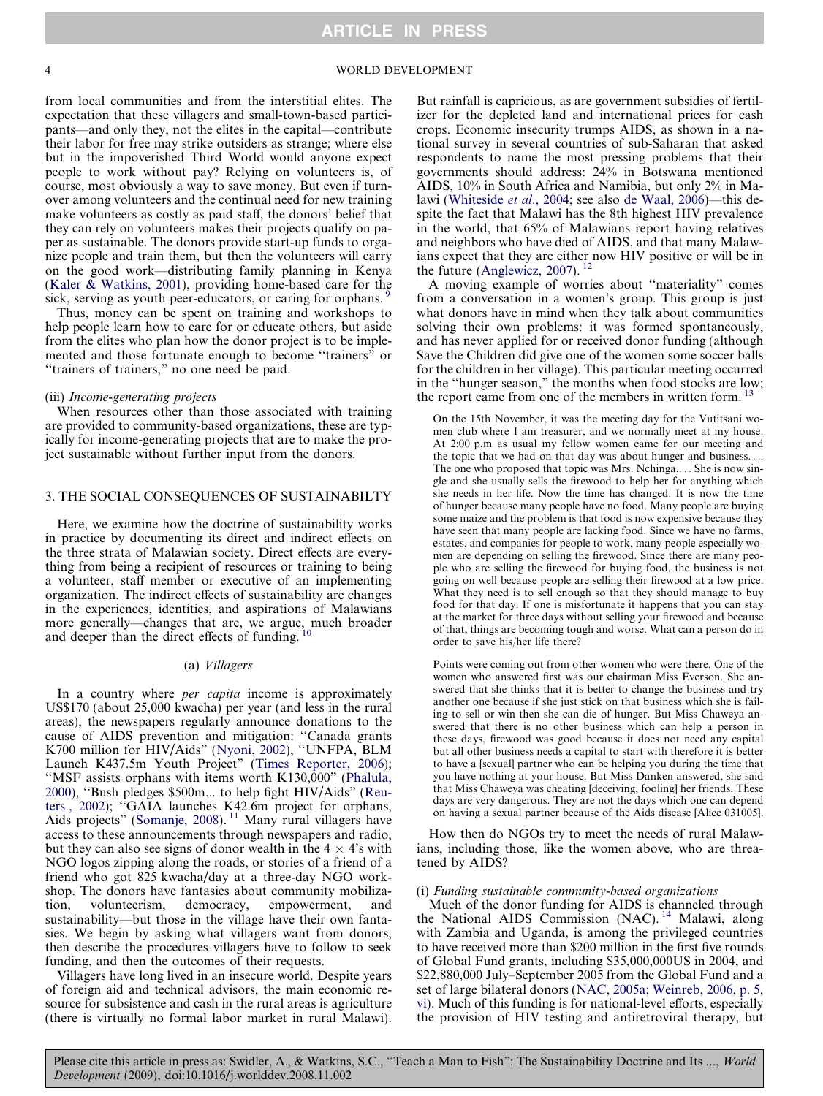from local communities and from the interstitial elites. The expectation that these villagers and small-town-based participants—and only they, not the elites in the capital—contribute their labor for free may strike outsiders as strange; where else but in the impoverished Third World would anyone expect people to work without pay? Relying on volunteers is, of course, most obviously a way to save money. But even if turnover among volunteers and the continual need for new training make volunteers as costly as paid staff, the donors' belief that they can rely on volunteers makes their projects qualify on paper as sustainable. The donors provide start-up funds to organize people and train them, but then the volunteers will carry on the good work—distributing family planning in Kenya ([Kaler & Watkins, 2001\)](#page-13-0), providing home-based care for the sick, serving as youth peer-educators, or caring for orphans.

Thus, money can be spent on training and workshops to help people learn how to care for or educate others, but aside from the elites who plan how the donor project is to be implemented and those fortunate enough to become "trainers" or ''trainers of trainers," no one need be paid.

#### (iii) Income-generating projects

When resources other than those associated with training are provided to community-based organizations, these are typically for income-generating projects that are to make the project sustainable without further input from the donors.

#### 3. THE SOCIAL CONSEQUENCES OF SUSTAINABILTY

Here, we examine how the doctrine of sustainability works in practice by documenting its direct and indirect effects on the three strata of Malawian society. Direct effects are everything from being a recipient of resources or training to being a volunteer, staff member or executive of an implementing organization. The indirect effects of sustainability are changes in the experiences, identities, and aspirations of Malawians more generally—changes that are, we argue, much broader and deeper than the direct effects of funding.

#### (a) Villagers

In a country where *per capita* income is approximately US\$170 (about 25,000 kwacha) per year (and less in the rural areas), the newspapers regularly announce donations to the cause of AIDS prevention and mitigation: ''Canada grants K700 million for HIV/Aids" ([Nyoni, 2002\)](#page-14-0), ''UNFPA, BLM Launch K437.5m Youth Project" ([Times Reporter, 2006](#page-14-0)); ''MSF assists orphans with items worth K130,000" [\(Phalula,](#page-14-0) [2000\)](#page-14-0), ''Bush pledges \$500m... to help fight HIV/Aids" ([Reu](#page-14-0)[ters., 2002](#page-14-0)); ''GAIA launches K42.6m project for orphans, Aids projects" [\(Somanje, 2008\)](#page-14-0).<sup>11</sup> Many rural villagers have access to these announcements through newspapers and radio, but they can also see signs of donor wealth in the  $4 \times 4$ 's with NGO logos zipping along the roads, or stories of a friend of a friend who got 825 kwacha/day at a three-day NGO workshop. The donors have fantasies about community mobilization, volunteerism, democracy, empowerment, and sustainability—but those in the village have their own fantasies. We begin by asking what villagers want from donors, then describe the procedures villagers have to follow to seek funding, and then the outcomes of their requests.

Villagers have long lived in an insecure world. Despite years of foreign aid and technical advisors, the main economic resource for subsistence and cash in the rural areas is agriculture (there is virtually no formal labor market in rural Malawi).

But rainfall is capricious, as are government subsidies of fertilizer for the depleted land and international prices for cash crops. Economic insecurity trumps AIDS, as shown in a national survey in several countries of sub-Saharan that asked respondents to name the most pressing problems that their governments should address: 24% in Botswana mentioned AIDS, 10% in South Africa and Namibia, but only 2% in Malawi ([Whiteside](#page-14-0) et al., 2004; see also [de Waal, 2006](#page-13-0))—this despite the fact that Malawi has the 8th highest HIV prevalence in the world, that 65% of Malawians report having relatives and neighbors who have died of AIDS, and that many Malaw-ians expect that they are either now HIV positive or will be in the future [\(Anglewicz, 2007](#page-12-0)).<sup>12</sup>

A moving example of worries about ''materiality" comes from a conversation in a women's group. This group is just what donors have in mind when they talk about communities solving their own problems: it was formed spontaneously, and has never applied for or received donor funding (although Save the Children did give one of the women some soccer balls for the children in her village). This particular meeting occurred in the ''hunger season," the months when food stocks are low; the report came from one of the members in written form.  $13$ 

On the 15th November, it was the meeting day for the Vutitsani women club where I am treasurer, and we normally meet at my house. At 2:00 p.m as usual my fellow women came for our meeting and the topic that we had on that day was about hunger and business.... The one who proposed that topic was Mrs. Nchinga.... She is now single and she usually sells the firewood to help her for anything which she needs in her life. Now the time has changed. It is now the time of hunger because many people have no food. Many people are buying some maize and the problem is that food is now expensive because they have seen that many people are lacking food. Since we have no farms, estates, and companies for people to work, many people especially women are depending on selling the firewood. Since there are many people who are selling the firewood for buying food, the business is not going on well because people are selling their firewood at a low price. What they need is to sell enough so that they should manage to buy food for that day. If one is misfortunate it happens that you can stay at the market for three days without selling your firewood and because of that, things are becoming tough and worse. What can a person do in order to save his/her life there?

Points were coming out from other women who were there. One of the women who answered first was our chairman Miss Everson. She answered that she thinks that it is better to change the business and try another one because if she just stick on that business which she is failing to sell or win then she can die of hunger. But Miss Chaweya answered that there is no other business which can help a person in these days, firewood was good because it does not need any capital but all other business needs a capital to start with therefore it is better to have a [sexual] partner who can be helping you during the time that you have nothing at your house. But Miss Danken answered, she said that Miss Chaweya was cheating [deceiving, fooling] her friends. These days are very dangerous. They are not the days which one can depend on having a sexual partner because of the Aids disease [Alice 031005].

How then do NGOs try to meet the needs of rural Malawians, including those, like the women above, who are threatened by AIDS?

#### (i) Funding sustainable community-based organizations

Much of the donor funding for AIDS is channeled through the National AIDS Commission (NAC). <sup>14</sup> Malawi, along with Zambia and Uganda, is among the privileged countries to have received more than \$200 million in the first five rounds of Global Fund grants, including \$35,000,000US in 2004, and \$22,880,000 July–September 2005 from the Global Fund and a set of large bilateral donors [\(NAC, 2005a; Weinreb, 2006, p. 5,](#page-14-0) [vi\)](#page-14-0). Much of this funding is for national-level efforts, especially the provision of HIV testing and antiretroviral therapy, but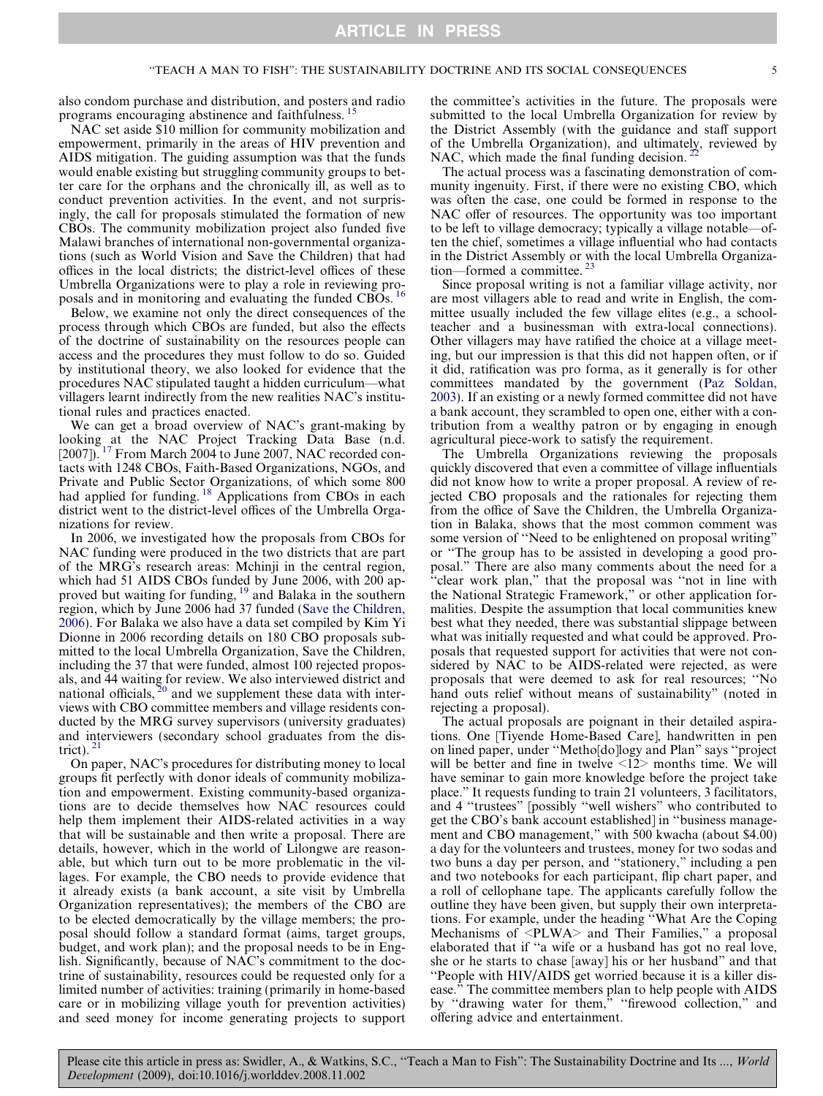also condom purchase and distribution, and posters and radio programs encouraging abstinence and faithfulness.<sup>15</sup>

NAC set aside \$10 million for community mobilization and empowerment, primarily in the areas of HIV prevention and AIDS mitigation. The guiding assumption was that the funds would enable existing but struggling community groups to better care for the orphans and the chronically ill, as well as to conduct prevention activities. In the event, and not surprisingly, the call for proposals stimulated the formation of new CBOs. The community mobilization project also funded five Malawi branches of international non-governmental organizations (such as World Vision and Save the Children) that had offices in the local districts; the district-level offices of these Umbrella Organizations were to play a role in reviewing pro-<br>posals and in monitoring and evaluating the funded CBOs.<sup>16</sup>

Below, we examine not only the direct consequences of the process through which CBOs are funded, but also the effects of the doctrine of sustainability on the resources people can access and the procedures they must follow to do so. Guided by institutional theory, we also looked for evidence that the procedures NAC stipulated taught a hidden curriculum—what villagers learnt indirectly from the new realities NAC's institutional rules and practices enacted.

We can get a broad overview of NAC's grant-making by looking at the NAC Project Tracking Data Base (n.d. [2007]). <sup>17</sup> From March 2004 to June 2007, NAC recorded contacts with 1248 CBOs, Faith-Based Organizations, NGOs, and Private and Public Sector Organizations, of which some 800 had applied for funding.<sup>18</sup> Applications from CBOs in each district went to the district-level offices of the Umbrella Organizations for review.

In 2006, we investigated how the proposals from CBOs for NAC funding were produced in the two districts that are part of the MRG's research areas: Mchinji in the central region, which had 51 AIDS CBOs funded by June 2006, with 200 approved but waiting for funding,  $\frac{19}{2}$  and Balaka in the southern region, which by June 2006 had 37 funded [\(Save the Children,](#page-14-0) [2006](#page-14-0)). For Balaka we also have a data set compiled by Kim Yi Dionne in 2006 recording details on 180 CBO proposals submitted to the local Umbrella Organization, Save the Children, including the 37 that were funded, almost 100 rejected proposals, and 44 waiting for review. We also interviewed district and national officials,  $2<sup>0</sup>$  and we supplement these data with interviews with CBO committee members and village residents conducted by the MRG survey supervisors (university graduates) and interviewers (secondary school graduates from the district).  $21$ 

On paper, NAC's procedures for distributing money to local groups fit perfectly with donor ideals of community mobilization and empowerment. Existing community-based organizations are to decide themselves how NAC resources could help them implement their AIDS-related activities in a way that will be sustainable and then write a proposal. There are details, however, which in the world of Lilongwe are reasonable, but which turn out to be more problematic in the villages. For example, the CBO needs to provide evidence that it already exists (a bank account, a site visit by Umbrella Organization representatives); the members of the CBO are to be elected democratically by the village members; the proposal should follow a standard format (aims, target groups, budget, and work plan); and the proposal needs to be in English. Significantly, because of NAC's commitment to the doctrine of sustainability, resources could be requested only for a limited number of activities: training (primarily in home-based care or in mobilizing village youth for prevention activities) and seed money for income generating projects to support the committee's activities in the future. The proposals were submitted to the local Umbrella Organization for review by the District Assembly (with the guidance and staff support of the Umbrella Organization), and ultimately, reviewed by NAC, which made the final funding decision.

The actual process was a fascinating demonstration of community ingenuity. First, if there were no existing CBO, which was often the case, one could be formed in response to the NAC offer of resources. The opportunity was too important to be left to village democracy; typically a village notable—often the chief, sometimes a village influential who had contacts in the District Assembly or with the local Umbrella Organization—formed a committee.

Since proposal writing is not a familiar village activity, nor are most villagers able to read and write in English, the committee usually included the few village elites (e.g., a schoolteacher and a businessman with extra-local connections). Other villagers may have ratified the choice at a village meeting, but our impression is that this did not happen often, or if it did, ratification was pro forma, as it generally is for other committees mandated by the government ([Paz Soldan,](#page-14-0) [2003](#page-14-0)). If an existing or a newly formed committee did not have a bank account, they scrambled to open one, either with a contribution from a wealthy patron or by engaging in enough agricultural piece-work to satisfy the requirement.

The Umbrella Organizations reviewing the proposals quickly discovered that even a committee of village influentials did not know how to write a proper proposal. A review of rejected CBO proposals and the rationales for rejecting them from the office of Save the Children, the Umbrella Organization in Balaka, shows that the most common comment was some version of ''Need to be enlightened on proposal writing" or ''The group has to be assisted in developing a good proposal." There are also many comments about the need for a ''clear work plan," that the proposal was ''not in line with the National Strategic Framework," or other application formalities. Despite the assumption that local communities knew best what they needed, there was substantial slippage between what was initially requested and what could be approved. Proposals that requested support for activities that were not considered by NAC to be AIDS-related were rejected, as were proposals that were deemed to ask for real resources; ''No hand outs relief without means of sustainability" (noted in rejecting a proposal).

The actual proposals are poignant in their detailed aspirations. One [Tiyende Home-Based Care], handwritten in pen on lined paper, under ''Metho[do]logy and Plan" says ''project will be better and fine in twelve  $\langle 12 \rangle$  months time. We will have seminar to gain more knowledge before the project take place." It requests funding to train 21 volunteers, 3 facilitators, and 4 ''trustees" [possibly ''well wishers" who contributed to get the CBO's bank account established] in ''business management and CBO management," with 500 kwacha (about \$4.00) a day for the volunteers and trustees, money for two sodas and two buns a day per person, and ''stationery," including a pen and two notebooks for each participant, flip chart paper, and a roll of cellophane tape. The applicants carefully follow the outline they have been given, but supply their own interpretations. For example, under the heading ''What Are the Coping Mechanisms of <PLWA> and Their Families," a proposal elaborated that if ''a wife or a husband has got no real love, she or he starts to chase [away] his or her husband" and that ''People with HIV/AIDS get worried because it is a killer disease." The committee members plan to help people with AIDS by ''drawing water for them," ''firewood collection," and offering advice and entertainment.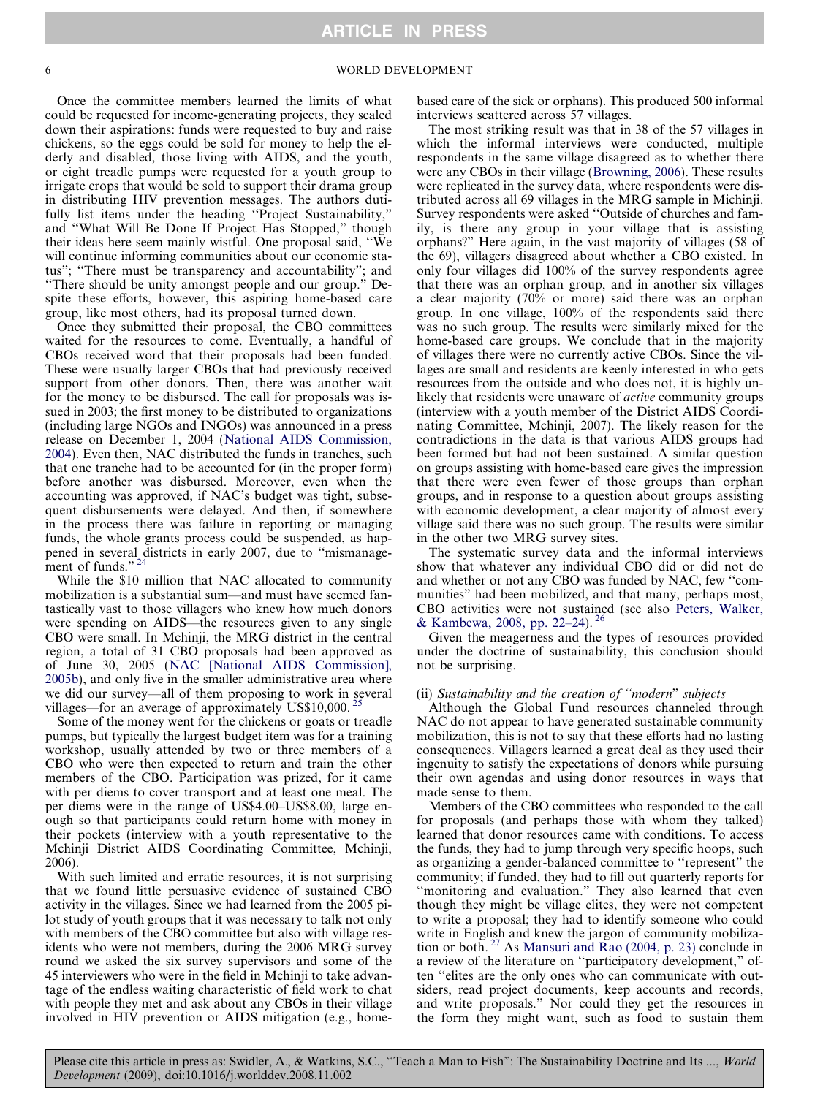Once the committee members learned the limits of what could be requested for income-generating projects, they scaled down their aspirations: funds were requested to buy and raise chickens, so the eggs could be sold for money to help the elderly and disabled, those living with AIDS, and the youth, or eight treadle pumps were requested for a youth group to irrigate crops that would be sold to support their drama group in distributing HIV prevention messages. The authors dutifully list items under the heading "Project Sustainability," and ''What Will Be Done If Project Has Stopped," though their ideas here seem mainly wistful. One proposal said, ''We will continue informing communities about our economic status"; "There must be transparency and accountability"; and ''There should be unity amongst people and our group." Despite these efforts, however, this aspiring home-based care group, like most others, had its proposal turned down.

Once they submitted their proposal, the CBO committees waited for the resources to come. Eventually, a handful of CBOs received word that their proposals had been funded. These were usually larger CBOs that had previously received support from other donors. Then, there was another wait for the money to be disbursed. The call for proposals was issued in 2003; the first money to be distributed to organizations (including large NGOs and INGOs) was announced in a press release on December 1, 2004 [\(National AIDS Commission,](#page-14-0) [2004\)](#page-14-0). Even then, NAC distributed the funds in tranches, such that one tranche had to be accounted for (in the proper form) before another was disbursed. Moreover, even when the accounting was approved, if NAC's budget was tight, subsequent disbursements were delayed. And then, if somewhere in the process there was failure in reporting or managing funds, the whole grants process could be suspended, as happened in several districts in early 2007, due to ''mismanagement of funds."<sup>24</sup>

While the \$10 million that NAC allocated to community mobilization is a substantial sum—and must have seemed fantastically vast to those villagers who knew how much donors were spending on AIDS—the resources given to any single CBO were small. In Mchinji, the MRG district in the central region, a total of 31 CBO proposals had been approved as of June 30, 2005 [\(NAC \[National AIDS Commission\],](#page-14-0) [2005b\)](#page-14-0), and only five in the smaller administrative area where we did our survey—all of them proposing to work in several villages—for an average of approximately US\$10,000.<sup>25</sup>

Some of the money went for the chickens or goats or treadle pumps, but typically the largest budget item was for a training workshop, usually attended by two or three members of a CBO who were then expected to return and train the other members of the CBO. Participation was prized, for it came with per diems to cover transport and at least one meal. The per diems were in the range of US\$4.00–US\$8.00, large enough so that participants could return home with money in their pockets (interview with a youth representative to the Mchinji District AIDS Coordinating Committee, Mchinji, 2006).

With such limited and erratic resources, it is not surprising that we found little persuasive evidence of sustained CBO activity in the villages. Since we had learned from the 2005 pilot study of youth groups that it was necessary to talk not only with members of the CBO committee but also with village residents who were not members, during the 2006 MRG survey round we asked the six survey supervisors and some of the 45 interviewers who were in the field in Mchinji to take advantage of the endless waiting characteristic of field work to chat with people they met and ask about any CBOs in their village involved in HIV prevention or AIDS mitigation (e.g., homebased care of the sick or orphans). This produced 500 informal interviews scattered across 57 villages.

The most striking result was that in 38 of the 57 villages in which the informal interviews were conducted, multiple respondents in the same village disagreed as to whether there were any CBOs in their village [\(Browning, 2006\)](#page-13-0). These results were replicated in the survey data, where respondents were distributed across all 69 villages in the MRG sample in Michinji. Survey respondents were asked ''Outside of churches and family, is there any group in your village that is assisting orphans?" Here again, in the vast majority of villages (58 of the 69), villagers disagreed about whether a CBO existed. In only four villages did 100% of the survey respondents agree that there was an orphan group, and in another six villages a clear majority (70% or more) said there was an orphan group. In one village, 100% of the respondents said there was no such group. The results were similarly mixed for the home-based care groups. We conclude that in the majority of villages there were no currently active CBOs. Since the villages are small and residents are keenly interested in who gets resources from the outside and who does not, it is highly unlikely that residents were unaware of *active* community groups (interview with a youth member of the District AIDS Coordinating Committee, Mchinji, 2007). The likely reason for the contradictions in the data is that various AIDS groups had been formed but had not been sustained. A similar question on groups assisting with home-based care gives the impression that there were even fewer of those groups than orphan groups, and in response to a question about groups assisting with economic development, a clear majority of almost every village said there was no such group. The results were similar in the other two MRG survey sites.

The systematic survey data and the informal interviews show that whatever any individual CBO did or did not do and whether or not any CBO was funded by NAC, few ''communities" had been mobilized, and that many, perhaps most, CBO activities were not sustained (see also [Peters, Walker,](#page-14-0) [& Kambewa, 2008, pp. 22–24](#page-14-0)). <sup>26</sup>

Given the meagerness and the types of resources provided under the doctrine of sustainability, this conclusion should not be surprising.

#### (ii) Sustainability and the creation of ''modern" subjects

Although the Global Fund resources channeled through NAC do not appear to have generated sustainable community mobilization, this is not to say that these efforts had no lasting consequences. Villagers learned a great deal as they used their ingenuity to satisfy the expectations of donors while pursuing their own agendas and using donor resources in ways that made sense to them.

Members of the CBO committees who responded to the call for proposals (and perhaps those with whom they talked) learned that donor resources came with conditions. To access the funds, they had to jump through very specific hoops, such as organizing a gender-balanced committee to ''represent" the community; if funded, they had to fill out quarterly reports for ''monitoring and evaluation." They also learned that even though they might be village elites, they were not competent to write a proposal; they had to identify someone who could write in English and knew the jargon of community mobilization or both. <sup>27</sup> As [Mansuri and Rao \(2004, p. 23\)](#page-13-0) conclude in a review of the literature on ''participatory development," often ''elites are the only ones who can communicate with outsiders, read project documents, keep accounts and records, and write proposals." Nor could they get the resources in the form they might want, such as food to sustain them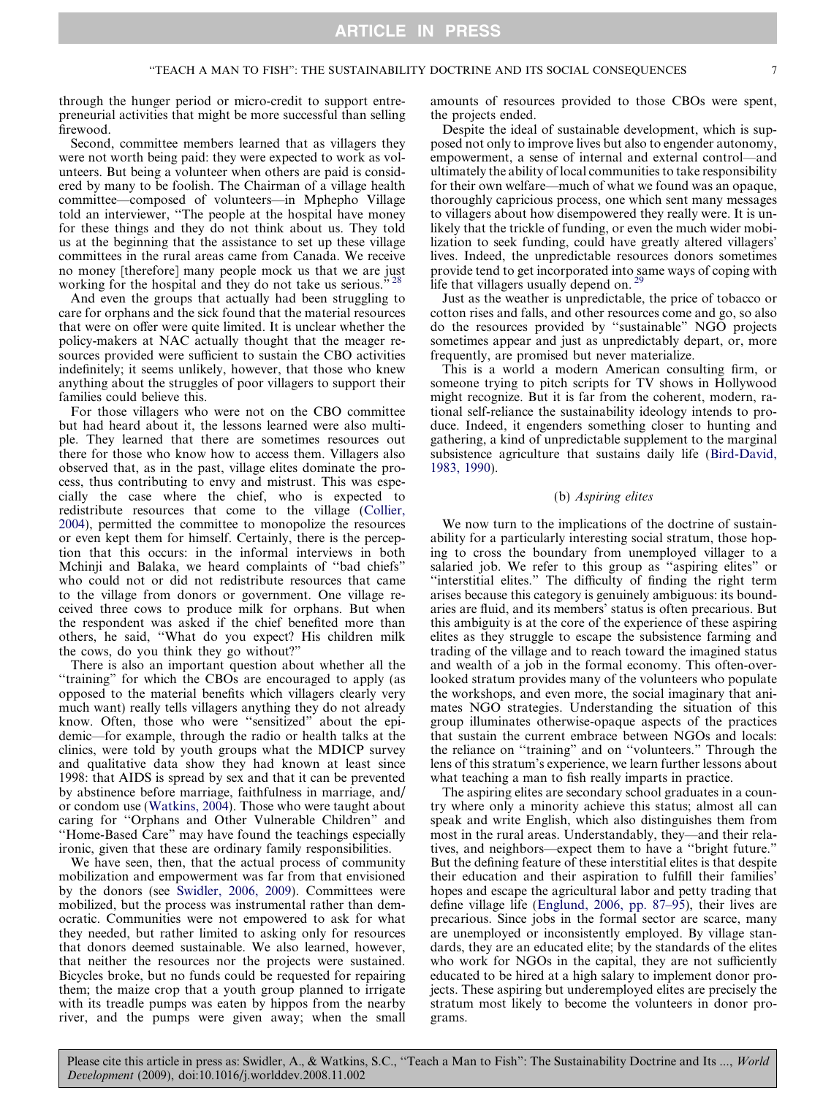through the hunger period or micro-credit to support entrepreneurial activities that might be more successful than selling firewood.

Second, committee members learned that as villagers they were not worth being paid: they were expected to work as volunteers. But being a volunteer when others are paid is considered by many to be foolish. The Chairman of a village health committee—composed of volunteers—in Mphepho Village told an interviewer, ''The people at the hospital have money for these things and they do not think about us. They told us at the beginning that the assistance to set up these village committees in the rural areas came from Canada. We receive no money [therefore] many people mock us that we are just working for the hospital and they do not take us serious."

And even the groups that actually had been struggling to care for orphans and the sick found that the material resources that were on offer were quite limited. It is unclear whether the policy-makers at NAC actually thought that the meager resources provided were sufficient to sustain the CBO activities indefinitely; it seems unlikely, however, that those who knew anything about the struggles of poor villagers to support their families could believe this.

For those villagers who were not on the CBO committee but had heard about it, the lessons learned were also multiple. They learned that there are sometimes resources out there for those who know how to access them. Villagers also observed that, as in the past, village elites dominate the process, thus contributing to envy and mistrust. This was especially the case where the chief, who is expected to redistribute resources that come to the village ([Collier,](#page-13-0) [2004](#page-13-0)), permitted the committee to monopolize the resources or even kept them for himself. Certainly, there is the perception that this occurs: in the informal interviews in both Mchinji and Balaka, we heard complaints of ''bad chiefs" who could not or did not redistribute resources that came to the village from donors or government. One village received three cows to produce milk for orphans. But when the respondent was asked if the chief benefited more than others, he said, ''What do you expect? His children milk the cows, do you think they go without?"

There is also an important question about whether all the ''training" for which the CBOs are encouraged to apply (as opposed to the material benefits which villagers clearly very much want) really tells villagers anything they do not already know. Often, those who were ''sensitized" about the epidemic—for example, through the radio or health talks at the clinics, were told by youth groups what the MDICP survey and qualitative data show they had known at least since 1998: that AIDS is spread by sex and that it can be prevented by abstinence before marriage, faithfulness in marriage, and/ or condom use ([Watkins, 2004](#page-14-0)). Those who were taught about caring for ''Orphans and Other Vulnerable Children" and ''Home-Based Care" may have found the teachings especially ironic, given that these are ordinary family responsibilities.

We have seen, then, that the actual process of community mobilization and empowerment was far from that envisioned by the donors (see [Swidler, 2006, 2009\)](#page-14-0). Committees were mobilized, but the process was instrumental rather than democratic. Communities were not empowered to ask for what they needed, but rather limited to asking only for resources that donors deemed sustainable. We also learned, however, that neither the resources nor the projects were sustained. Bicycles broke, but no funds could be requested for repairing them; the maize crop that a youth group planned to irrigate with its treadle pumps was eaten by hippos from the nearby river, and the pumps were given away; when the small amounts of resources provided to those CBOs were spent, the projects ended.

Despite the ideal of sustainable development, which is supposed not only to improve lives but also to engender autonomy, empowerment, a sense of internal and external control—and ultimately the ability of local communities to take responsibility for their own welfare—much of what we found was an opaque, thoroughly capricious process, one which sent many messages to villagers about how disempowered they really were. It is unlikely that the trickle of funding, or even the much wider mobilization to seek funding, could have greatly altered villagers' lives. Indeed, the unpredictable resources donors sometimes provide tend to get incorporated into same ways of coping with life that villagers usually depend on.<sup>29</sup>

Just as the weather is unpredictable, the price of tobacco or cotton rises and falls, and other resources come and go, so also do the resources provided by ''sustainable" NGO projects sometimes appear and just as unpredictably depart, or, more frequently, are promised but never materialize.

This is a world a modern American consulting firm, or someone trying to pitch scripts for TV shows in Hollywood might recognize. But it is far from the coherent, modern, rational self-reliance the sustainability ideology intends to produce. Indeed, it engenders something closer to hunting and gathering, a kind of unpredictable supplement to the marginal subsistence agriculture that sustains daily life [\(Bird-David,](#page-13-0) [1983, 1990](#page-13-0)).

#### (b) Aspiring elites

We now turn to the implications of the doctrine of sustainability for a particularly interesting social stratum, those hoping to cross the boundary from unemployed villager to a salaried job. We refer to this group as ''aspiring elites" or ''interstitial elites." The difficulty of finding the right term arises because this category is genuinely ambiguous: its boundaries are fluid, and its members' status is often precarious. But this ambiguity is at the core of the experience of these aspiring elites as they struggle to escape the subsistence farming and trading of the village and to reach toward the imagined status and wealth of a job in the formal economy. This often-overlooked stratum provides many of the volunteers who populate the workshops, and even more, the social imaginary that animates NGO strategies. Understanding the situation of this group illuminates otherwise-opaque aspects of the practices that sustain the current embrace between NGOs and locals: the reliance on ''training" and on ''volunteers." Through the lens of this stratum's experience, we learn further lessons about what teaching a man to fish really imparts in practice.

The aspiring elites are secondary school graduates in a country where only a minority achieve this status; almost all can speak and write English, which also distinguishes them from most in the rural areas. Understandably, they—and their relatives, and neighbors—expect them to have a ''bright future." But the defining feature of these interstitial elites is that despite their education and their aspiration to fulfill their families' hopes and escape the agricultural labor and petty trading that define village life ([Englund, 2006, pp. 87–95](#page-13-0)), their lives are precarious. Since jobs in the formal sector are scarce, many are unemployed or inconsistently employed. By village standards, they are an educated elite; by the standards of the elites who work for NGOs in the capital, they are not sufficiently educated to be hired at a high salary to implement donor projects. These aspiring but underemployed elites are precisely the stratum most likely to become the volunteers in donor programs.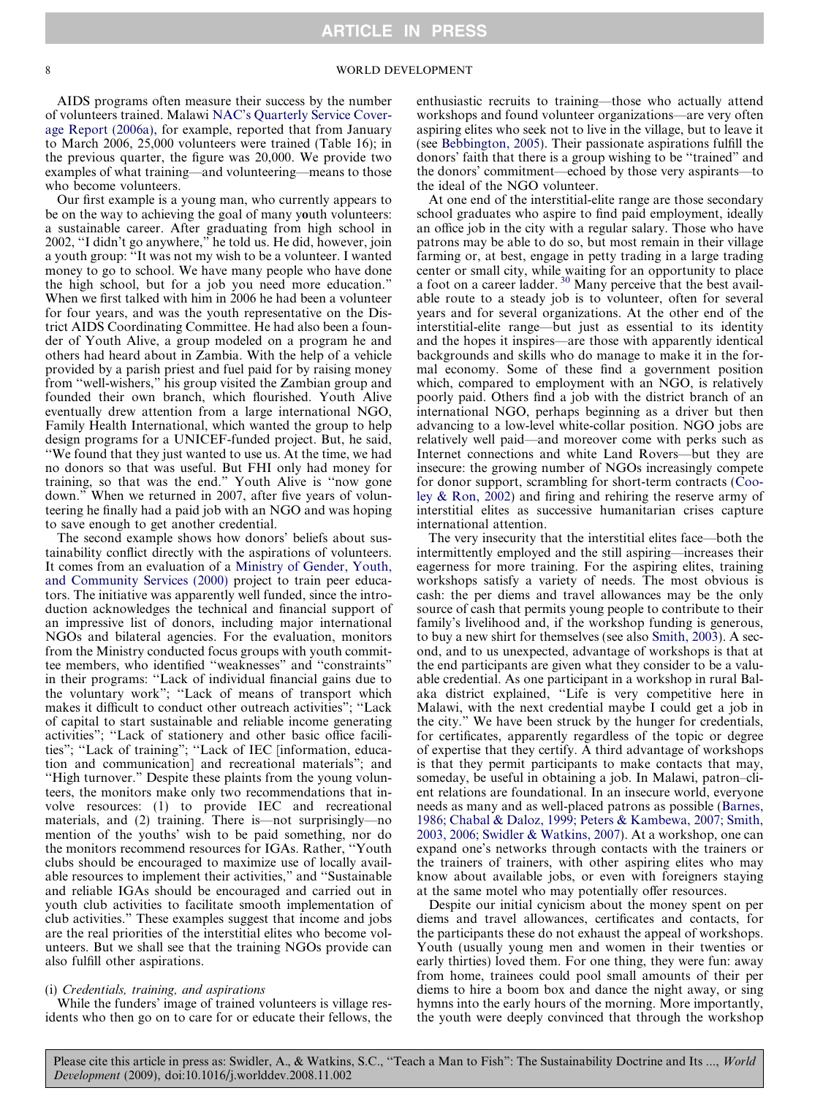AIDS programs often measure their success by the number of volunteers trained. Malawi [NAC's Quarterly Service Cover](#page-14-0)[age Report \(2006a\)](#page-14-0), for example, reported that from January to March 2006, 25,000 volunteers were trained (Table 16); in the previous quarter, the figure was 20,000. We provide two examples of what training—and volunteering—means to those who become volunteers.

Our first example is a young man, who currently appears to be on the way to achieving the goal of many youth volunteers: a sustainable career. After graduating from high school in 2002, ''I didn't go anywhere," he told us. He did, however, join a youth group: ''It was not my wish to be a volunteer. I wanted money to go to school. We have many people who have done the high school, but for a job you need more education." When we first talked with him in 2006 he had been a volunteer for four years, and was the youth representative on the District AIDS Coordinating Committee. He had also been a founder of Youth Alive, a group modeled on a program he and others had heard about in Zambia. With the help of a vehicle provided by a parish priest and fuel paid for by raising money from ''well-wishers," his group visited the Zambian group and founded their own branch, which flourished. Youth Alive eventually drew attention from a large international NGO, Family Health International, which wanted the group to help design programs for a UNICEF-funded project. But, he said, ''We found that they just wanted to use us. At the time, we had no donors so that was useful. But FHI only had money for training, so that was the end." Youth Alive is ''now gone down." When we returned in 2007, after five years of volunteering he finally had a paid job with an NGO and was hoping to save enough to get another credential.

The second example shows how donors' beliefs about sustainability conflict directly with the aspirations of volunteers. It comes from an evaluation of a [Ministry of Gender, Youth,](#page-13-0) [and Community Services \(2000\)](#page-13-0) project to train peer educators. The initiative was apparently well funded, since the introduction acknowledges the technical and financial support of an impressive list of donors, including major international NGOs and bilateral agencies. For the evaluation, monitors from the Ministry conducted focus groups with youth committee members, who identified ''weaknesses" and ''constraints" in their programs: ''Lack of individual financial gains due to the voluntary work"; ''Lack of means of transport which makes it difficult to conduct other outreach activities"; ''Lack of capital to start sustainable and reliable income generating activities"; ''Lack of stationery and other basic office facilities"; ''Lack of training"; ''Lack of IEC [information, education and communication] and recreational materials"; and ''High turnover." Despite these plaints from the young volunteers, the monitors make only two recommendations that involve resources: (1) to provide IEC and recreational materials, and (2) training. There is—not surprisingly—no mention of the youths' wish to be paid something, nor do the monitors recommend resources for IGAs. Rather, ''Youth clubs should be encouraged to maximize use of locally available resources to implement their activities," and ''Sustainable and reliable IGAs should be encouraged and carried out in youth club activities to facilitate smooth implementation of club activities." These examples suggest that income and jobs are the real priorities of the interstitial elites who become volunteers. But we shall see that the training NGOs provide can also fulfill other aspirations.

## (i) Credentials, training, and aspirations

While the funders' image of trained volunteers is village residents who then go on to care for or educate their fellows, the enthusiastic recruits to training—those who actually attend workshops and found volunteer organizations—are very often aspiring elites who seek not to live in the village, but to leave it (see [Bebbington, 2005\)](#page-12-0). Their passionate aspirations fulfill the donors' faith that there is a group wishing to be ''trained" and the donors' commitment—echoed by those very aspirants—to the ideal of the NGO volunteer.

At one end of the interstitial-elite range are those secondary school graduates who aspire to find paid employment, ideally an office job in the city with a regular salary. Those who have patrons may be able to do so, but most remain in their village farming or, at best, engage in petty trading in a large trading center or small city, while waiting for an opportunity to place a foot on a career ladder.<sup>30</sup> Many perceive that the best available route to a steady job is to volunteer, often for several years and for several organizations. At the other end of the interstitial-elite range—but just as essential to its identity and the hopes it inspires—are those with apparently identical backgrounds and skills who do manage to make it in the formal economy. Some of these find a government position which, compared to employment with an NGO, is relatively poorly paid. Others find a job with the district branch of an international NGO, perhaps beginning as a driver but then advancing to a low-level white-collar position. NGO jobs are relatively well paid—and moreover come with perks such as Internet connections and white Land Rovers—but they are insecure: the growing number of NGOs increasingly compete for donor support, scrambling for short-term contracts [\(Coo](#page-13-0)[ley & Ron, 2002\)](#page-13-0) and firing and rehiring the reserve army of interstitial elites as successive humanitarian crises capture international attention.

The very insecurity that the interstitial elites face—both the intermittently employed and the still aspiring—increases their eagerness for more training. For the aspiring elites, training workshops satisfy a variety of needs. The most obvious is cash: the per diems and travel allowances may be the only source of cash that permits young people to contribute to their family's livelihood and, if the workshop funding is generous, to buy a new shirt for themselves (see also [Smith, 2003\)](#page-14-0). A second, and to us unexpected, advantage of workshops is that at the end participants are given what they consider to be a valuable credential. As one participant in a workshop in rural Balaka district explained, ''Life is very competitive here in Malawi, with the next credential maybe I could get a job in the city." We have been struck by the hunger for credentials, for certificates, apparently regardless of the topic or degree of expertise that they certify. A third advantage of workshops is that they permit participants to make contacts that may, someday, be useful in obtaining a job. In Malawi, patron–client relations are foundational. In an insecure world, everyone needs as many and as well-placed patrons as possible [\(Barnes,](#page-12-0) [1986; Chabal & Daloz, 1999; Peters & Kambewa, 2007; Smith,](#page-12-0) [2003, 2006; Swidler & Watkins, 2007\)](#page-12-0). At a workshop, one can expand one's networks through contacts with the trainers or the trainers of trainers, with other aspiring elites who may know about available jobs, or even with foreigners staying at the same motel who may potentially offer resources.

Despite our initial cynicism about the money spent on per diems and travel allowances, certificates and contacts, for the participants these do not exhaust the appeal of workshops. Youth (usually young men and women in their twenties or early thirties) loved them. For one thing, they were fun: away from home, trainees could pool small amounts of their per diems to hire a boom box and dance the night away, or sing hymns into the early hours of the morning. More importantly, the youth were deeply convinced that through the workshop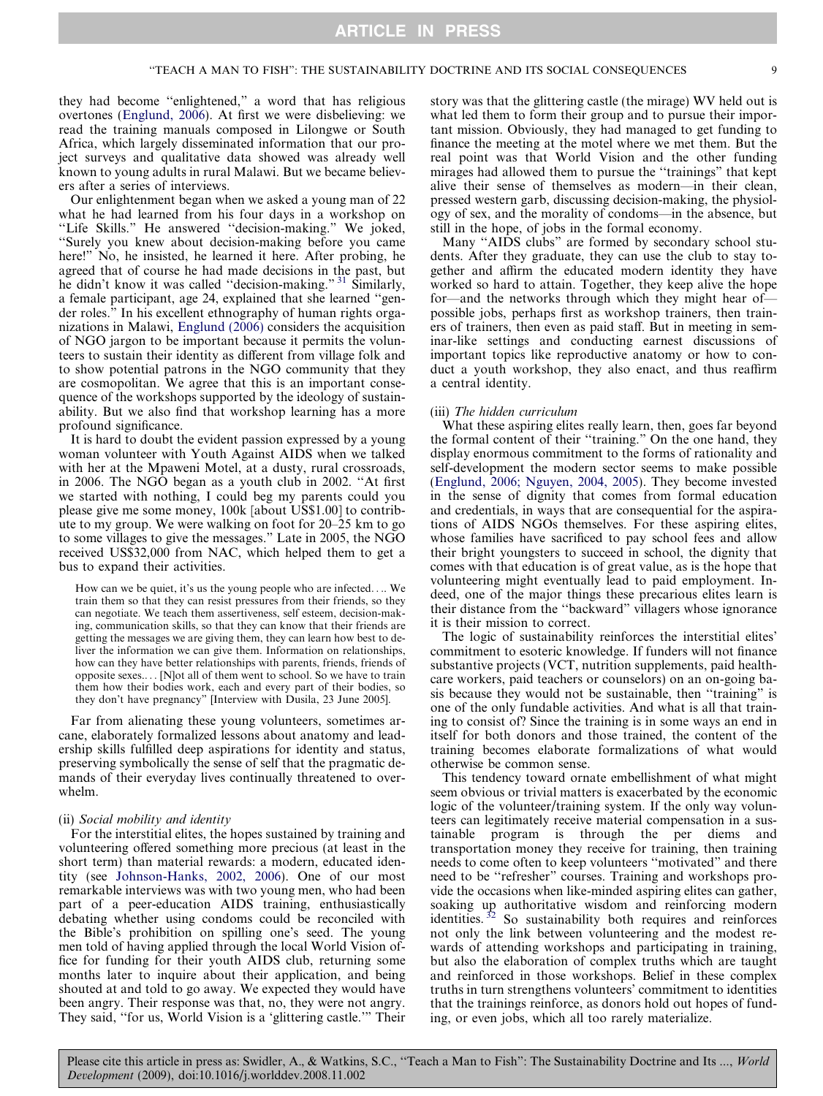# ''TEACH A MAN TO FISH": THE SUSTAINABILITY DOCTRINE AND ITS SOCIAL CONSEQUENCES 9

they had become ''enlightened," a word that has religious overtones ([Englund, 2006](#page-13-0)). At first we were disbelieving: we read the training manuals composed in Lilongwe or South Africa, which largely disseminated information that our project surveys and qualitative data showed was already well known to young adults in rural Malawi. But we became believers after a series of interviews.

Our enlightenment began when we asked a young man of 22 what he had learned from his four days in a workshop on ''Life Skills." He answered ''decision-making." We joked, ''Surely you knew about decision-making before you came here!" No, he insisted, he learned it here. After probing, he agreed that of course he had made decisions in the past, but he didn't know it was called ''decision-making." <sup>31</sup> Similarly, a female participant, age 24, explained that she learned ''gender roles." In his excellent ethnography of human rights organizations in Malawi, [Englund \(2006\)](#page-13-0) considers the acquisition of NGO jargon to be important because it permits the volunteers to sustain their identity as different from village folk and to show potential patrons in the NGO community that they are cosmopolitan. We agree that this is an important consequence of the workshops supported by the ideology of sustainability. But we also find that workshop learning has a more profound significance.

It is hard to doubt the evident passion expressed by a young woman volunteer with Youth Against AIDS when we talked with her at the Mpaweni Motel, at a dusty, rural crossroads, in 2006. The NGO began as a youth club in 2002. ''At first we started with nothing, I could beg my parents could you please give me some money, 100k [about US\$1.00] to contribute to my group. We were walking on foot for 20–25 km to go to some villages to give the messages." Late in 2005, the NGO received US\$32,000 from NAC, which helped them to get a bus to expand their activities.

How can we be quiet, it's us the young people who are infected.... We train them so that they can resist pressures from their friends, so they can negotiate. We teach them assertiveness, self esteem, decision-making, communication skills, so that they can know that their friends are getting the messages we are giving them, they can learn how best to deliver the information we can give them. Information on relationships, how can they have better relationships with parents, friends, friends of opposite sexes.... [N]ot all of them went to school. So we have to train them how their bodies work, each and every part of their bodies, so they don't have pregnancy" [Interview with Dusila, 23 June 2005].

Far from alienating these young volunteers, sometimes arcane, elaborately formalized lessons about anatomy and leadership skills fulfilled deep aspirations for identity and status, preserving symbolically the sense of self that the pragmatic demands of their everyday lives continually threatened to overwhelm.

#### (ii) Social mobility and identity

For the interstitial elites, the hopes sustained by training and volunteering offered something more precious (at least in the short term) than material rewards: a modern, educated identity (see [Johnson-Hanks, 2002, 2006](#page-13-0)). One of our most remarkable interviews was with two young men, who had been part of a peer-education AIDS training, enthusiastically debating whether using condoms could be reconciled with the Bible's prohibition on spilling one's seed. The young men told of having applied through the local World Vision office for funding for their youth AIDS club, returning some months later to inquire about their application, and being shouted at and told to go away. We expected they would have been angry. Their response was that, no, they were not angry. They said, ''for us, World Vision is a 'glittering castle.'" Their story was that the glittering castle (the mirage) WV held out is what led them to form their group and to pursue their important mission. Obviously, they had managed to get funding to finance the meeting at the motel where we met them. But the real point was that World Vision and the other funding mirages had allowed them to pursue the ''trainings" that kept alive their sense of themselves as modern—in their clean, pressed western garb, discussing decision-making, the physiology of sex, and the morality of condoms—in the absence, but still in the hope, of jobs in the formal economy.

Many ''AIDS clubs" are formed by secondary school students. After they graduate, they can use the club to stay together and affirm the educated modern identity they have worked so hard to attain. Together, they keep alive the hope for—and the networks through which they might hear of possible jobs, perhaps first as workshop trainers, then trainers of trainers, then even as paid staff. But in meeting in seminar-like settings and conducting earnest discussions of important topics like reproductive anatomy or how to conduct a youth workshop, they also enact, and thus reaffirm a central identity.

#### (iii) The hidden curriculum

What these aspiring elites really learn, then, goes far beyond the formal content of their ''training." On the one hand, they display enormous commitment to the forms of rationality and self-development the modern sector seems to make possible ([Englund, 2006; Nguyen, 2004, 2005](#page-13-0)). They become invested in the sense of dignity that comes from formal education and credentials, in ways that are consequential for the aspirations of AIDS NGOs themselves. For these aspiring elites, whose families have sacrificed to pay school fees and allow their bright youngsters to succeed in school, the dignity that comes with that education is of great value, as is the hope that volunteering might eventually lead to paid employment. Indeed, one of the major things these precarious elites learn is their distance from the ''backward" villagers whose ignorance it is their mission to correct.

The logic of sustainability reinforces the interstitial elites' commitment to esoteric knowledge. If funders will not finance substantive projects (VCT, nutrition supplements, paid healthcare workers, paid teachers or counselors) on an on-going basis because they would not be sustainable, then ''training" is one of the only fundable activities. And what is all that training to consist of? Since the training is in some ways an end in itself for both donors and those trained, the content of the training becomes elaborate formalizations of what would otherwise be common sense.

This tendency toward ornate embellishment of what might seem obvious or trivial matters is exacerbated by the economic logic of the volunteer/training system. If the only way volunteers can legitimately receive material compensation in a sustainable program is through the per diems and transportation money they receive for training, then training needs to come often to keep volunteers ''motivated" and there need to be ''refresher" courses. Training and workshops provide the occasions when like-minded aspiring elites can gather, soaking up authoritative wisdom and reinforcing modern identities. <sup>32</sup> So sustainability both requires and reinforces not only the link between volunteering and the modest rewards of attending workshops and participating in training, but also the elaboration of complex truths which are taught and reinforced in those workshops. Belief in these complex truths in turn strengthens volunteers' commitment to identities that the trainings reinforce, as donors hold out hopes of funding, or even jobs, which all too rarely materialize.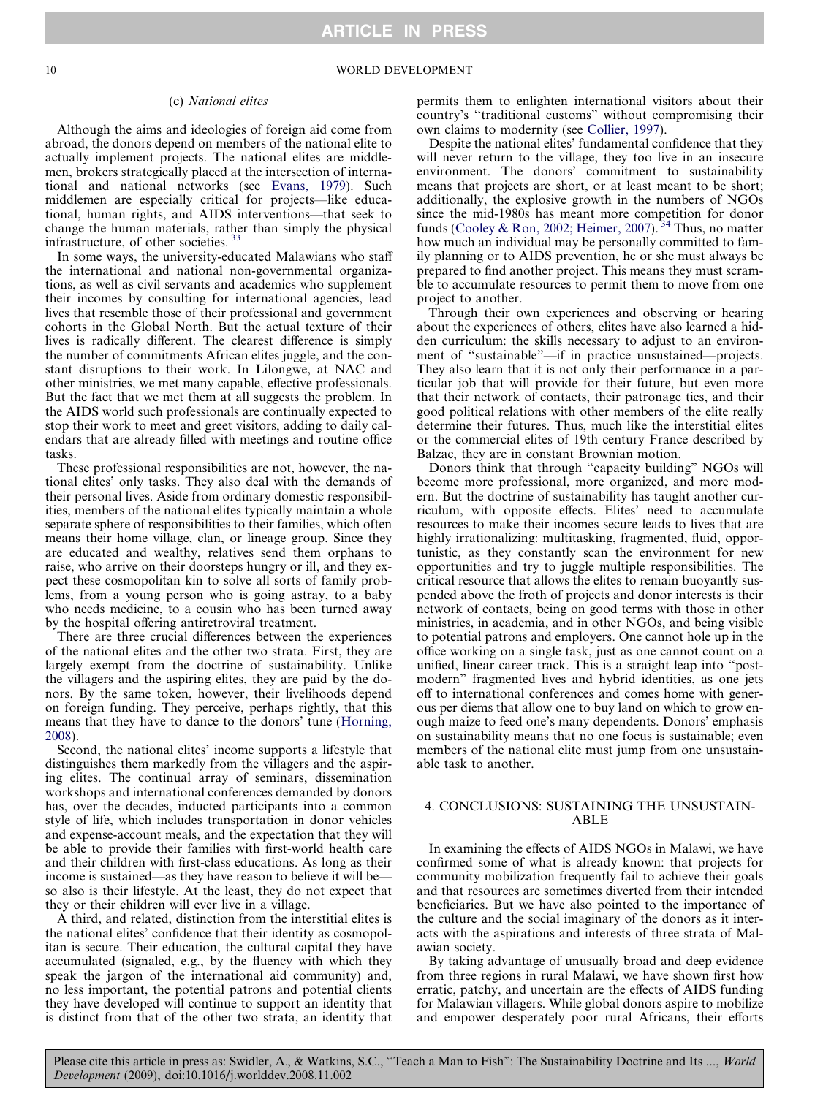#### (c) National elites

Although the aims and ideologies of foreign aid come from abroad, the donors depend on members of the national elite to actually implement projects. The national elites are middlemen, brokers strategically placed at the intersection of international and national networks (see [Evans, 1979](#page-13-0)). Such middlemen are especially critical for projects—like educational, human rights, and AIDS interventions—that seek to change the human materials, rather than simply the physical infrastructure, of other societies.  $3\frac{3}{2}$ 

In some ways, the university-educated Malawians who staff the international and national non-governmental organizations, as well as civil servants and academics who supplement their incomes by consulting for international agencies, lead lives that resemble those of their professional and government cohorts in the Global North. But the actual texture of their lives is radically different. The clearest difference is simply the number of commitments African elites juggle, and the constant disruptions to their work. In Lilongwe, at NAC and other ministries, we met many capable, effective professionals. But the fact that we met them at all suggests the problem. In the AIDS world such professionals are continually expected to stop their work to meet and greet visitors, adding to daily calendars that are already filled with meetings and routine office tasks.

These professional responsibilities are not, however, the national elites' only tasks. They also deal with the demands of their personal lives. Aside from ordinary domestic responsibilities, members of the national elites typically maintain a whole separate sphere of responsibilities to their families, which often means their home village, clan, or lineage group. Since they are educated and wealthy, relatives send them orphans to raise, who arrive on their doorsteps hungry or ill, and they expect these cosmopolitan kin to solve all sorts of family problems, from a young person who is going astray, to a baby who needs medicine, to a cousin who has been turned away by the hospital offering antiretroviral treatment.

There are three crucial differences between the experiences of the national elites and the other two strata. First, they are largely exempt from the doctrine of sustainability. Unlike the villagers and the aspiring elites, they are paid by the donors. By the same token, however, their livelihoods depend on foreign funding. They perceive, perhaps rightly, that this means that they have to dance to the donors' tune ([Horning,](#page-13-0) [2008\)](#page-13-0).

Second, the national elites' income supports a lifestyle that distinguishes them markedly from the villagers and the aspiring elites. The continual array of seminars, dissemination workshops and international conferences demanded by donors has, over the decades, inducted participants into a common style of life, which includes transportation in donor vehicles and expense-account meals, and the expectation that they will be able to provide their families with first-world health care and their children with first-class educations. As long as their income is sustained—as they have reason to believe it will be so also is their lifestyle. At the least, they do not expect that they or their children will ever live in a village.

A third, and related, distinction from the interstitial elites is the national elites' confidence that their identity as cosmopolitan is secure. Their education, the cultural capital they have accumulated (signaled, e.g., by the fluency with which they speak the jargon of the international aid community) and, no less important, the potential patrons and potential clients they have developed will continue to support an identity that is distinct from that of the other two strata, an identity that permits them to enlighten international visitors about their country's ''traditional customs" without compromising their own claims to modernity (see [Collier, 1997](#page-13-0)).

Despite the national elites' fundamental confidence that they will never return to the village, they too live in an insecure environment. The donors' commitment to sustainability means that projects are short, or at least meant to be short; additionally, the explosive growth in the numbers of NGOs since the mid-1980s has meant more competition for donor funds ([Cooley & Ron, 2002; Heimer, 2007](#page-13-0)). <sup>34</sup> Thus, no matter how much an individual may be personally committed to family planning or to AIDS prevention, he or she must always be prepared to find another project. This means they must scramble to accumulate resources to permit them to move from one project to another.

Through their own experiences and observing or hearing about the experiences of others, elites have also learned a hidden curriculum: the skills necessary to adjust to an environment of ''sustainable"—if in practice unsustained—projects. They also learn that it is not only their performance in a particular job that will provide for their future, but even more that their network of contacts, their patronage ties, and their good political relations with other members of the elite really determine their futures. Thus, much like the interstitial elites or the commercial elites of 19th century France described by Balzac, they are in constant Brownian motion.

Donors think that through ''capacity building" NGOs will become more professional, more organized, and more modern. But the doctrine of sustainability has taught another curriculum, with opposite effects. Elites' need to accumulate resources to make their incomes secure leads to lives that are highly irrationalizing: multitasking, fragmented, fluid, opportunistic, as they constantly scan the environment for new opportunities and try to juggle multiple responsibilities. The critical resource that allows the elites to remain buoyantly suspended above the froth of projects and donor interests is their network of contacts, being on good terms with those in other ministries, in academia, and in other NGOs, and being visible to potential patrons and employers. One cannot hole up in the office working on a single task, just as one cannot count on a unified, linear career track. This is a straight leap into ''postmodern" fragmented lives and hybrid identities, as one jets off to international conferences and comes home with generous per diems that allow one to buy land on which to grow enough maize to feed one's many dependents. Donors' emphasis on sustainability means that no one focus is sustainable; even members of the national elite must jump from one unsustainable task to another.

## 4. CONCLUSIONS: SUSTAINING THE UNSUSTAIN-ABLE

In examining the effects of AIDS NGOs in Malawi, we have confirmed some of what is already known: that projects for community mobilization frequently fail to achieve their goals and that resources are sometimes diverted from their intended beneficiaries. But we have also pointed to the importance of the culture and the social imaginary of the donors as it interacts with the aspirations and interests of three strata of Malawian society.

By taking advantage of unusually broad and deep evidence from three regions in rural Malawi, we have shown first how erratic, patchy, and uncertain are the effects of AIDS funding for Malawian villagers. While global donors aspire to mobilize and empower desperately poor rural Africans, their efforts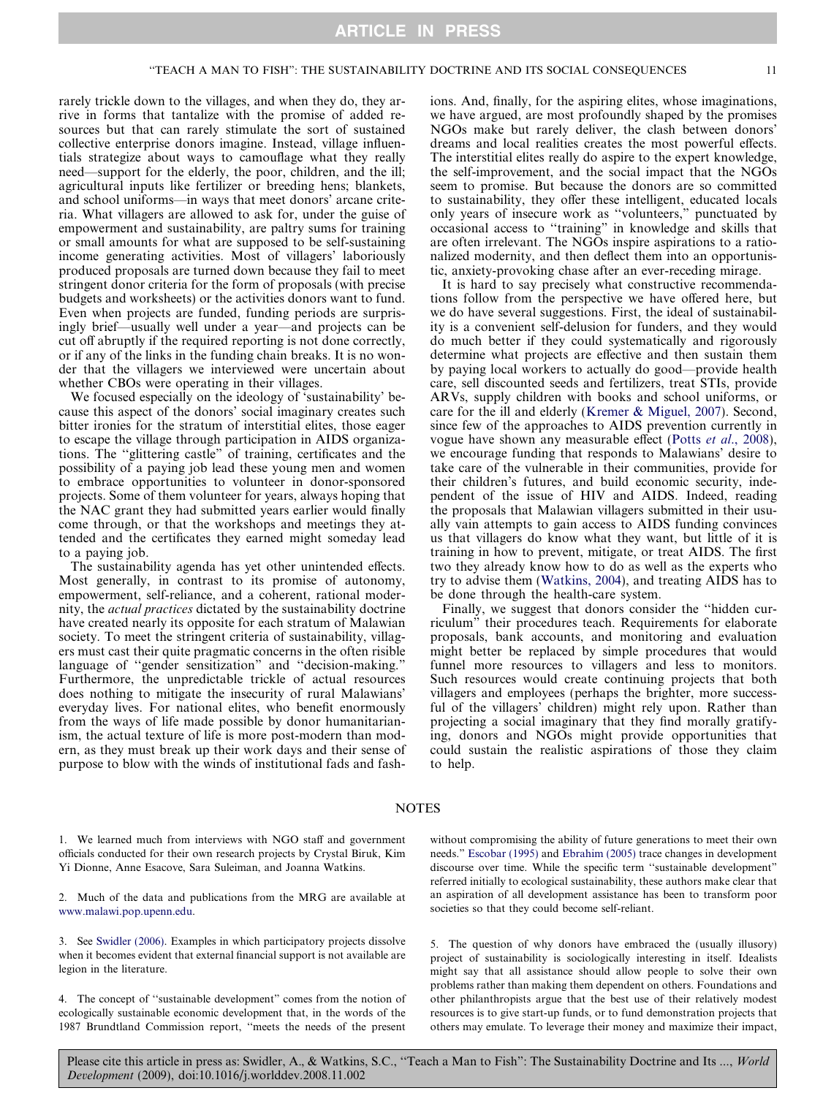rarely trickle down to the villages, and when they do, they arrive in forms that tantalize with the promise of added resources but that can rarely stimulate the sort of sustained collective enterprise donors imagine. Instead, village influentials strategize about ways to camouflage what they really need—support for the elderly, the poor, children, and the ill; agricultural inputs like fertilizer or breeding hens; blankets, and school uniforms—in ways that meet donors' arcane criteria. What villagers are allowed to ask for, under the guise of empowerment and sustainability, are paltry sums for training or small amounts for what are supposed to be self-sustaining income generating activities. Most of villagers' laboriously produced proposals are turned down because they fail to meet stringent donor criteria for the form of proposals (with precise budgets and worksheets) or the activities donors want to fund. Even when projects are funded, funding periods are surprisingly brief—usually well under a year—and projects can be cut off abruptly if the required reporting is not done correctly, or if any of the links in the funding chain breaks. It is no wonder that the villagers we interviewed were uncertain about whether CBOs were operating in their villages.

We focused especially on the ideology of 'sustainability' because this aspect of the donors' social imaginary creates such bitter ironies for the stratum of interstitial elites, those eager to escape the village through participation in AIDS organizations. The ''glittering castle" of training, certificates and the possibility of a paying job lead these young men and women to embrace opportunities to volunteer in donor-sponsored projects. Some of them volunteer for years, always hoping that the NAC grant they had submitted years earlier would finally come through, or that the workshops and meetings they attended and the certificates they earned might someday lead to a paying job.

The sustainability agenda has yet other unintended effects. Most generally, in contrast to its promise of autonomy, empowerment, self-reliance, and a coherent, rational modernity, the actual practices dictated by the sustainability doctrine have created nearly its opposite for each stratum of Malawian society. To meet the stringent criteria of sustainability, villagers must cast their quite pragmatic concerns in the often risible language of ''gender sensitization" and ''decision-making." Furthermore, the unpredictable trickle of actual resources does nothing to mitigate the insecurity of rural Malawians' everyday lives. For national elites, who benefit enormously from the ways of life made possible by donor humanitarianism, the actual texture of life is more post-modern than modern, as they must break up their work days and their sense of purpose to blow with the winds of institutional fads and fashions. And, finally, for the aspiring elites, whose imaginations, we have argued, are most profoundly shaped by the promises NGOs make but rarely deliver, the clash between donors' dreams and local realities creates the most powerful effects. The interstitial elites really do aspire to the expert knowledge, the self-improvement, and the social impact that the NGOs seem to promise. But because the donors are so committed to sustainability, they offer these intelligent, educated locals only years of insecure work as ''volunteers," punctuated by occasional access to ''training" in knowledge and skills that are often irrelevant. The NGOs inspire aspirations to a rationalized modernity, and then deflect them into an opportunistic, anxiety-provoking chase after an ever-receding mirage.

It is hard to say precisely what constructive recommendations follow from the perspective we have offered here, but we do have several suggestions. First, the ideal of sustainability is a convenient self-delusion for funders, and they would do much better if they could systematically and rigorously determine what projects are effective and then sustain them by paying local workers to actually do good—provide health care, sell discounted seeds and fertilizers, treat STIs, provide ARVs, supply children with books and school uniforms, or care for the ill and elderly [\(Kremer & Miguel, 2007](#page-13-0)). Second, since few of the approaches to AIDS prevention currently in vogue have shown any measurable effect (Potts et al[., 2008\)](#page-14-0), we encourage funding that responds to Malawians' desire to take care of the vulnerable in their communities, provide for their children's futures, and build economic security, independent of the issue of HIV and AIDS. Indeed, reading the proposals that Malawian villagers submitted in their usually vain attempts to gain access to AIDS funding convinces us that villagers do know what they want, but little of it is training in how to prevent, mitigate, or treat AIDS. The first two they already know how to do as well as the experts who try to advise them ([Watkins, 2004\)](#page-14-0), and treating AIDS has to be done through the health-care system.

Finally, we suggest that donors consider the ''hidden curriculum" their procedures teach. Requirements for elaborate proposals, bank accounts, and monitoring and evaluation might better be replaced by simple procedures that would funnel more resources to villagers and less to monitors. Such resources would create continuing projects that both villagers and employees (perhaps the brighter, more successful of the villagers' children) might rely upon. Rather than projecting a social imaginary that they find morally gratifying, donors and NGOs might provide opportunities that could sustain the realistic aspirations of those they claim to help.

#### NOTES

1. We learned much from interviews with NGO staff and government officials conducted for their own research projects by Crystal Biruk, Kim Yi Dionne, Anne Esacove, Sara Suleiman, and Joanna Watkins.

2. Much of the data and publications from the MRG are available at [www.malawi.pop.upenn.edu](http://www.malawi.pop.upenn.edu).

3. See [Swidler \(2006\).](#page-14-0) Examples in which participatory projects dissolve when it becomes evident that external financial support is not available are legion in the literature.

4. The concept of ''sustainable development" comes from the notion of ecologically sustainable economic development that, in the words of the 1987 Brundtland Commission report, ''meets the needs of the present without compromising the ability of future generations to meet their own needs." [Escobar \(1995\)](#page-13-0) and [Ebrahim \(2005\)](#page-13-0) trace changes in development discourse over time. While the specific term ''sustainable development" referred initially to ecological sustainability, these authors make clear that an aspiration of all development assistance has been to transform poor societies so that they could become self-reliant.

5. The question of why donors have embraced the (usually illusory) project of sustainability is sociologically interesting in itself. Idealists might say that all assistance should allow people to solve their own problems rather than making them dependent on others. Foundations and other philanthropists argue that the best use of their relatively modest resources is to give start-up funds, or to fund demonstration projects that others may emulate. To leverage their money and maximize their impact,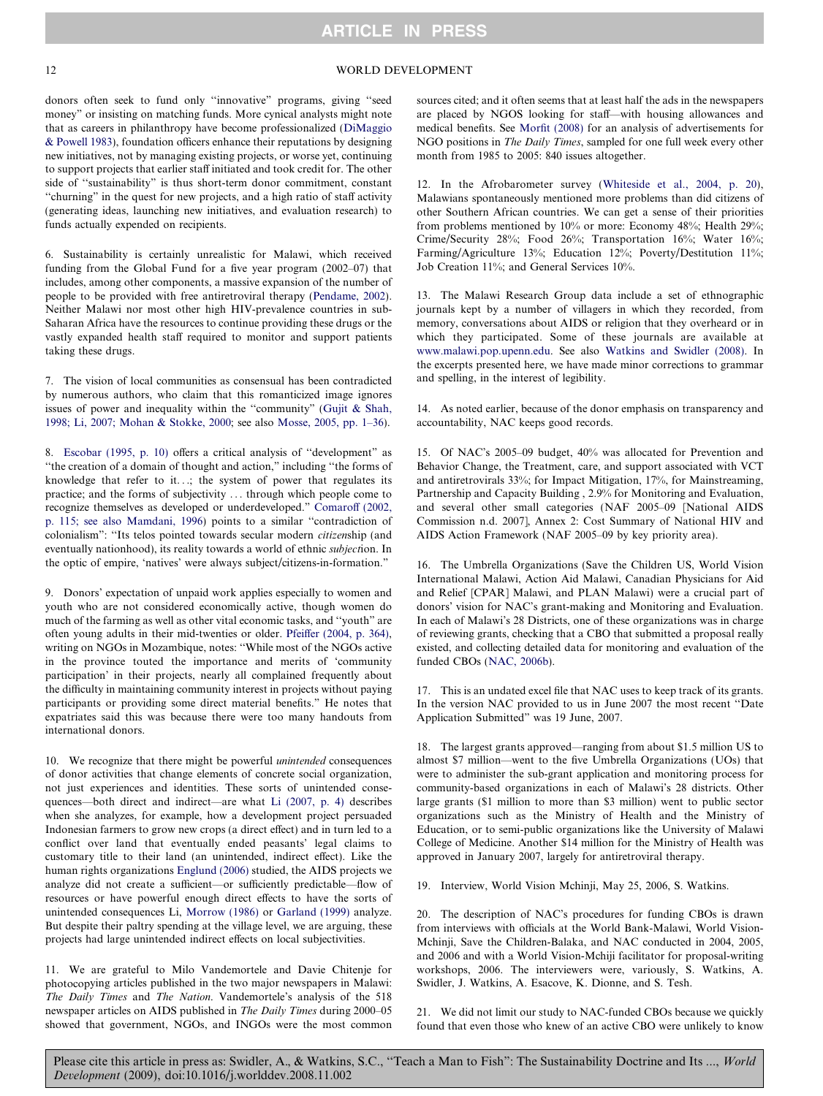## 12 WORLD DEVELOPMENT

donors often seek to fund only ''innovative" programs, giving ''seed money" or insisting on matching funds. More cynical analysts might note that as careers in philanthropy have become professionalized ([DiMaggio](#page-13-0) [& Powell 1983](#page-13-0)), foundation officers enhance their reputations by designing new initiatives, not by managing existing projects, or worse yet, continuing to support projects that earlier staff initiated and took credit for. The other side of ''sustainability" is thus short-term donor commitment, constant ''churning" in the quest for new projects, and a high ratio of staff activity (generating ideas, launching new initiatives, and evaluation research) to funds actually expended on recipients.

6. Sustainability is certainly unrealistic for Malawi, which received funding from the Global Fund for a five year program (2002–07) that includes, among other components, a massive expansion of the number of people to be provided with free antiretroviral therapy ([Pendame, 2002\)](#page-14-0). Neither Malawi nor most other high HIV-prevalence countries in sub-Saharan Africa have the resources to continue providing these drugs or the vastly expanded health staff required to monitor and support patients taking these drugs.

7. The vision of local communities as consensual has been contradicted by numerous authors, who claim that this romanticized image ignores issues of power and inequality within the ''community" ([Gujit & Shah,](#page-13-0) [1998; Li, 2007; Mohan & Stokke, 2000](#page-13-0); see also [Mosse, 2005, pp. 1–36\)](#page-14-0).

8. [Escobar \(1995, p. 10\)](#page-13-0) offers a critical analysis of ''development" as ''the creation of a domain of thought and action," including ''the forms of knowledge that refer to it...; the system of power that regulates its practice; and the forms of subjectivity ... through which people come to recognize themselves as developed or underdeveloped." [Comaroff \(2002,](#page-13-0) [p. 115; see also Mamdani, 1996\)](#page-13-0) points to a similar ''contradiction of colonialism": ''Its telos pointed towards secular modern citizenship (and eventually nationhood), its reality towards a world of ethnic subjection. In the optic of empire, 'natives' were always subject/citizens-in-formation."

9. Donors' expectation of unpaid work applies especially to women and youth who are not considered economically active, though women do much of the farming as well as other vital economic tasks, and ''youth" are often young adults in their mid-twenties or older. [Pfeiffer \(2004, p. 364\),](#page-14-0) writing on NGOs in Mozambique, notes: ''While most of the NGOs active in the province touted the importance and merits of 'community participation' in their projects, nearly all complained frequently about the difficulty in maintaining community interest in projects without paying participants or providing some direct material benefits." He notes that expatriates said this was because there were too many handouts from international donors.

10. We recognize that there might be powerful unintended consequences of donor activities that change elements of concrete social organization, not just experiences and identities. These sorts of unintended consequences—both direct and indirect—are what [Li \(2007, p. 4\)](#page-13-0) describes when she analyzes, for example, how a development project persuaded Indonesian farmers to grow new crops (a direct effect) and in turn led to a conflict over land that eventually ended peasants' legal claims to customary title to their land (an unintended, indirect effect). Like the human rights organizations [Englund \(2006\)](#page-13-0) studied, the AIDS projects we analyze did not create a sufficient—or sufficiently predictable—flow of resources or have powerful enough direct effects to have the sorts of unintended consequences Li, [Morrow \(1986\)](#page-14-0) or [Garland \(1999\)](#page-13-0) analyze. But despite their paltry spending at the village level, we are arguing, these projects had large unintended indirect effects on local subjectivities.

11. We are grateful to Milo Vandemortele and Davie Chitenje for photocopying articles published in the two major newspapers in Malawi: The Daily Times and The Nation. Vandemortele's analysis of the 518 newspaper articles on AIDS published in The Daily Times during 2000–05 showed that government, NGOs, and INGOs were the most common sources cited; and it often seems that at least half the ads in the newspapers are placed by NGOS looking for staff—with housing allowances and medical benefits. See [Morfit \(2008\)](#page-14-0) for an analysis of advertisements for NGO positions in The Daily Times, sampled for one full week every other month from 1985 to 2005: 840 issues altogether.

12. In the Afrobarometer survey [\(Whiteside et al., 2004, p. 20\)](#page-14-0), Malawians spontaneously mentioned more problems than did citizens of other Southern African countries. We can get a sense of their priorities from problems mentioned by 10% or more: Economy 48%; Health 29%; Crime/Security 28%; Food 26%; Transportation 16%; Water 16%; Farming/Agriculture 13%; Education 12%; Poverty/Destitution 11%; Job Creation 11%; and General Services 10%.

13. The Malawi Research Group data include a set of ethnographic journals kept by a number of villagers in which they recorded, from memory, conversations about AIDS or religion that they overheard or in which they participated. Some of these journals are available at [www.malawi.pop.upenn.edu](http://www.malawi.pop.upenn.edu). See also [Watkins and Swidler \(2008\).](#page-14-0) In the excerpts presented here, we have made minor corrections to grammar and spelling, in the interest of legibility.

14. As noted earlier, because of the donor emphasis on transparency and accountability, NAC keeps good records.

15. Of NAC's 2005–09 budget, 40% was allocated for Prevention and Behavior Change, the Treatment, care, and support associated with VCT and antiretrovirals 33%; for Impact Mitigation, 17%, for Mainstreaming, Partnership and Capacity Building , 2.9% for Monitoring and Evaluation, and several other small categories (NAF 2005–09 [National AIDS Commission n.d. 2007], Annex 2: Cost Summary of National HIV and AIDS Action Framework (NAF 2005–09 by key priority area).

16. The Umbrella Organizations (Save the Children US, World Vision International Malawi, Action Aid Malawi, Canadian Physicians for Aid and Relief [CPAR] Malawi, and PLAN Malawi) were a crucial part of donors' vision for NAC's grant-making and Monitoring and Evaluation. In each of Malawi's 28 Districts, one of these organizations was in charge of reviewing grants, checking that a CBO that submitted a proposal really existed, and collecting detailed data for monitoring and evaluation of the funded CBOs ([NAC, 2006b](#page-14-0)).

17. This is an undated excel file that NAC uses to keep track of its grants. In the version NAC provided to us in June 2007 the most recent ''Date Application Submitted" was 19 June, 2007.

18. The largest grants approved—ranging from about \$1.5 million US to almost \$7 million—went to the five Umbrella Organizations (UOs) that were to administer the sub-grant application and monitoring process for community-based organizations in each of Malawi's 28 districts. Other large grants (\$1 million to more than \$3 million) went to public sector organizations such as the Ministry of Health and the Ministry of Education, or to semi-public organizations like the University of Malawi College of Medicine. Another \$14 million for the Ministry of Health was approved in January 2007, largely for antiretroviral therapy.

19. Interview, World Vision Mchinji, May 25, 2006, S. Watkins.

20. The description of NAC's procedures for funding CBOs is drawn from interviews with officials at the World Bank-Malawi, World Vision-Mchinji, Save the Children-Balaka, and NAC conducted in 2004, 2005, and 2006 and with a World Vision-Mchiji facilitator for proposal-writing workshops, 2006. The interviewers were, variously, S. Watkins, A. Swidler, J. Watkins, A. Esacove, K. Dionne, and S. Tesh.

21. We did not limit our study to NAC-funded CBOs because we quickly found that even those who knew of an active CBO were unlikely to know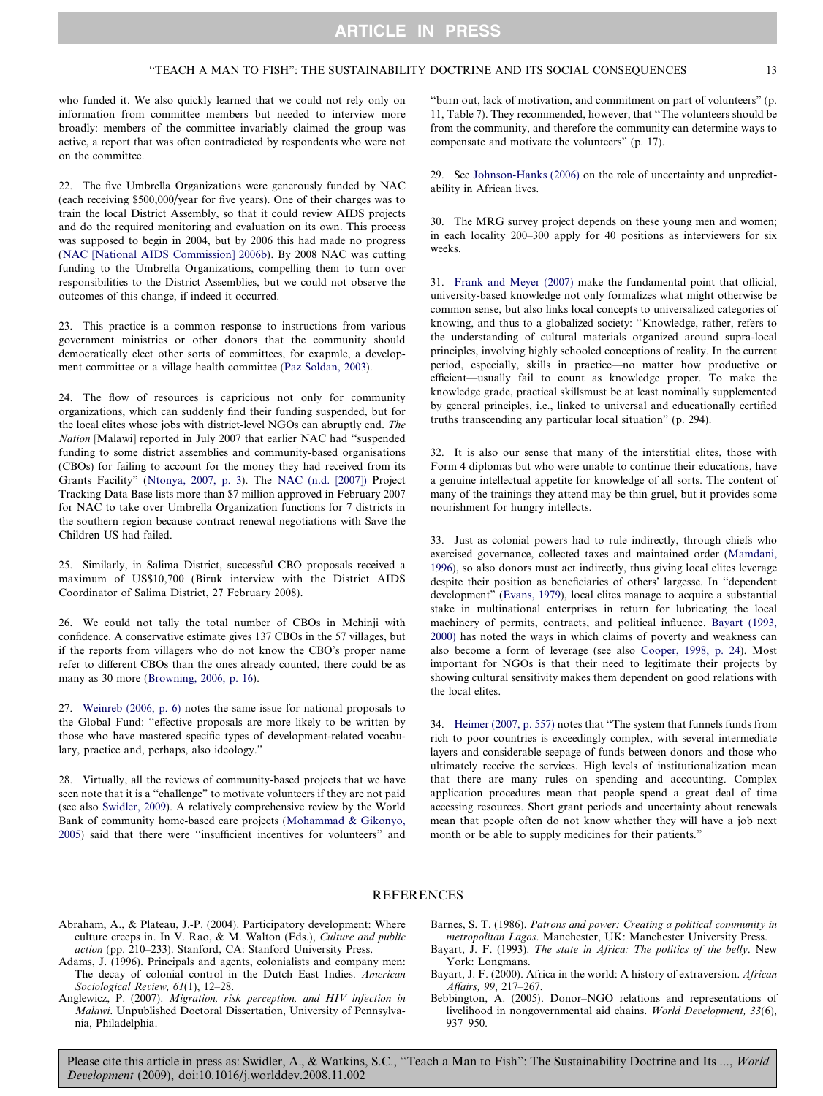# ''TEACH A MAN TO FISH": THE SUSTAINABILITY DOCTRINE AND ITS SOCIAL CONSEQUENCES 13

<span id="page-12-0"></span>who funded it. We also quickly learned that we could not rely only on information from committee members but needed to interview more broadly: members of the committee invariably claimed the group was active, a report that was often contradicted by respondents who were not on the committee.

22. The five Umbrella Organizations were generously funded by NAC (each receiving \$500,000/year for five years). One of their charges was to train the local District Assembly, so that it could review AIDS projects and do the required monitoring and evaluation on its own. This process was supposed to begin in 2004, but by 2006 this had made no progress [\(NAC \[National AIDS Commission\] 2006b](#page-14-0)). By 2008 NAC was cutting funding to the Umbrella Organizations, compelling them to turn over responsibilities to the District Assemblies, but we could not observe the outcomes of this change, if indeed it occurred.

23. This practice is a common response to instructions from various government ministries or other donors that the community should democratically elect other sorts of committees, for exapmle, a development committee or a village health committee ([Paz Soldan, 2003](#page-14-0)).

24. The flow of resources is capricious not only for community organizations, which can suddenly find their funding suspended, but for the local elites whose jobs with district-level NGOs can abruptly end. The Nation [Malawi] reported in July 2007 that earlier NAC had ''suspended funding to some district assemblies and community-based organisations (CBOs) for failing to account for the money they had received from its Grants Facility" ([Ntonya, 2007, p. 3\)](#page-14-0). The [NAC \(n.d. \[2007\]\)](#page-14-0) Project Tracking Data Base lists more than \$7 million approved in February 2007 for NAC to take over Umbrella Organization functions for 7 districts in the southern region because contract renewal negotiations with Save the Children US had failed.

25. Similarly, in Salima District, successful CBO proposals received a maximum of US\$10,700 (Biruk interview with the District AIDS Coordinator of Salima District, 27 February 2008).

26. We could not tally the total number of CBOs in Mchinji with confidence. A conservative estimate gives 137 CBOs in the 57 villages, but if the reports from villagers who do not know the CBO's proper name refer to different CBOs than the ones already counted, there could be as many as 30 more [\(Browning, 2006, p. 16](#page-13-0)).

27. [Weinreb \(2006, p. 6\)](#page-14-0) notes the same issue for national proposals to the Global Fund: ''effective proposals are more likely to be written by those who have mastered specific types of development-related vocabulary, practice and, perhaps, also ideology."

28. Virtually, all the reviews of community-based projects that we have seen note that it is a ''challenge" to motivate volunteers if they are not paid (see also [Swidler, 2009](#page-14-0)). A relatively comprehensive review by the World Bank of community home-based care projects [\(Mohammad & Gikonyo,](#page-13-0) [2005](#page-13-0)) said that there were ''insufficient incentives for volunteers" and ''burn out, lack of motivation, and commitment on part of volunteers" (p. 11, Table 7). They recommended, however, that ''The volunteers should be from the community, and therefore the community can determine ways to compensate and motivate the volunteers" (p. 17).

29. See [Johnson-Hanks \(2006\)](#page-13-0) on the role of uncertainty and unpredictability in African lives.

30. The MRG survey project depends on these young men and women; in each locality 200–300 apply for 40 positions as interviewers for six weeks.

31. [Frank and Meyer \(2007\)](#page-13-0) make the fundamental point that official, university-based knowledge not only formalizes what might otherwise be common sense, but also links local concepts to universalized categories of knowing, and thus to a globalized society: ''Knowledge, rather, refers to the understanding of cultural materials organized around supra-local principles, involving highly schooled conceptions of reality. In the current period, especially, skills in practice—no matter how productive or efficient—usually fail to count as knowledge proper. To make the knowledge grade, practical skillsmust be at least nominally supplemented by general principles, i.e., linked to universal and educationally certified truths transcending any particular local situation" (p. 294).

32. It is also our sense that many of the interstitial elites, those with Form 4 diplomas but who were unable to continue their educations, have a genuine intellectual appetite for knowledge of all sorts. The content of many of the trainings they attend may be thin gruel, but it provides some nourishment for hungry intellects.

33. Just as colonial powers had to rule indirectly, through chiefs who exercised governance, collected taxes and maintained order [\(Mamdani,](#page-13-0) [1996](#page-13-0)), so also donors must act indirectly, thus giving local elites leverage despite their position as beneficiaries of others' largesse. In ''dependent development" [\(Evans, 1979\)](#page-13-0), local elites manage to acquire a substantial stake in multinational enterprises in return for lubricating the local machinery of permits, contracts, and political influence. Bayart (1993, 2000) has noted the ways in which claims of poverty and weakness can also become a form of leverage (see also [Cooper, 1998, p. 24\)](#page-13-0). Most important for NGOs is that their need to legitimate their projects by showing cultural sensitivity makes them dependent on good relations with the local elites.

34. [Heimer \(2007, p. 557\)](#page-13-0) notes that ''The system that funnels funds from rich to poor countries is exceedingly complex, with several intermediate layers and considerable seepage of funds between donors and those who ultimately receive the services. High levels of institutionalization mean that there are many rules on spending and accounting. Complex application procedures mean that people spend a great deal of time accessing resources. Short grant periods and uncertainty about renewals mean that people often do not know whether they will have a job next month or be able to supply medicines for their patients."

#### REFERENCES

- Abraham, A., & Plateau, J.-P. (2004). Participatory development: Where culture creeps in. In V. Rao, & M. Walton (Eds.), Culture and public action (pp. 210–233). Stanford, CA: Stanford University Press.
- Adams, J. (1996). Principals and agents, colonialists and company men: The decay of colonial control in the Dutch East Indies. American Sociological Review, 61(1), 12–28.
- Anglewicz, P. (2007). Migration, risk perception, and HIV infection in Malawi. Unpublished Doctoral Dissertation, University of Pennsylvania, Philadelphia.
- Barnes, S. T. (1986). Patrons and power: Creating a political community in metropolitan Lagos. Manchester, UK: Manchester University Press.
- Bayart, J. F. (1993). The state in Africa: The politics of the belly. New York: Longmans.
- Bayart, J. F. (2000). Africa in the world: A history of extraversion. African Affairs, 99, 217–267.
- Bebbington, A. (2005). Donor–NGO relations and representations of livelihood in nongovernmental aid chains. World Development, 33(6), 937–950.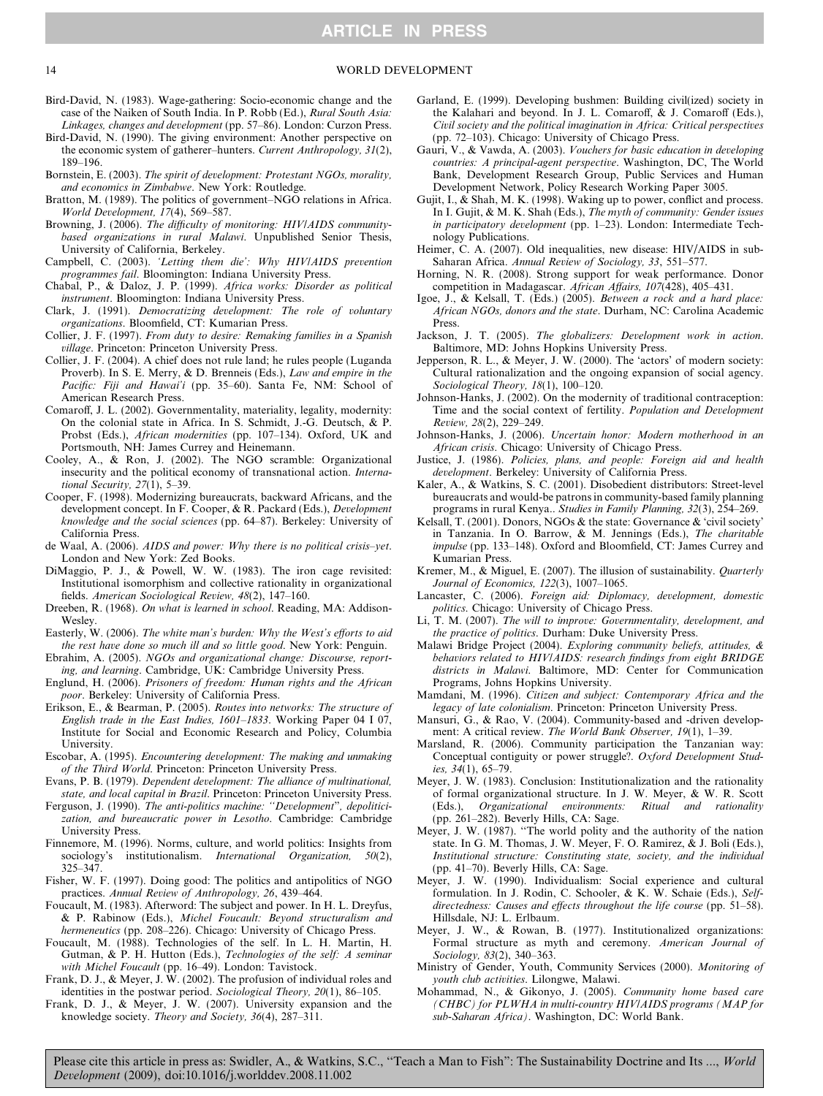# <span id="page-13-0"></span>14 WORLD DEVELOPMENT

- Bird-David, N. (1983). Wage-gathering: Socio-economic change and the case of the Naiken of South India. In P. Robb (Ed.), Rural South Asia: Linkages, changes and development (pp. 57–86). London: Curzon Press.
- Bird-David, N. (1990). The giving environment: Another perspective on the economic system of gatherer–hunters. Current Anthropology, 31(2), 189–196.
- Bornstein, E. (2003). The spirit of development: Protestant NGOs, morality, and economics in Zimbabwe. New York: Routledge.
- Bratton, M. (1989). The politics of government–NGO relations in Africa. World Development, 17(4), 569–587.
- Browning, J. (2006). The difficulty of monitoring: HIV/AIDS communitybased organizations in rural Malawi. Unpublished Senior Thesis, University of California, Berkeley.
- Campbell, C. (2003). 'Letting them die': Why HIV/AIDS prevention programmes fail. Bloomington: Indiana University Press.
- Chabal, P., & Daloz, J. P. (1999). Africa works: Disorder as political instrument. Bloomington: Indiana University Press.
- Clark, J. (1991). Democratizing development: The role of voluntary organizations. Bloomfield, CT: Kumarian Press.
- Collier, J. F. (1997). From duty to desire: Remaking families in a Spanish village. Princeton: Princeton University Press.
- Collier, J. F. (2004). A chief does not rule land; he rules people (Luganda Proverb). In S. E. Merry, & D. Brenneis (Eds.), Law and empire in the Pacific: Fiji and Hawai'i (pp. 35-60). Santa Fe, NM: School of American Research Press.
- Comaroff, J. L. (2002). Governmentality, materiality, legality, modernity: On the colonial state in Africa. In S. Schmidt, J.-G. Deutsch, & P. Probst (Eds.), African modernities (pp. 107–134). Oxford, UK and Portsmouth, NH: James Currey and Heinemann.
- Cooley, A., & Ron, J. (2002). The NGO scramble: Organizational insecurity and the political economy of transnational action. International Security, 27(1), 5–39.
- Cooper, F. (1998). Modernizing bureaucrats, backward Africans, and the development concept. In F. Cooper, & R. Packard (Eds.), Development knowledge and the social sciences (pp. 64–87). Berkeley: University of California Press.
- de Waal, A. (2006). AIDS and power: Why there is no political crisis–yet. London and New York: Zed Books.
- DiMaggio, P. J., & Powell, W. W. (1983). The iron cage revisited: Institutional isomorphism and collective rationality in organizational fields. American Sociological Review, 48(2), 147–160.
- Dreeben, R. (1968). On what is learned in school. Reading, MA: Addison-**Wesley**
- Easterly, W. (2006). The white man's burden: Why the West's efforts to aid the rest have done so much ill and so little good. New York: Penguin.
- Ebrahim, A. (2005). NGOs and organizational change: Discourse, reporting, and learning. Cambridge, UK: Cambridge University Press.
- Englund, H. (2006). Prisoners of freedom: Human rights and the African poor. Berkeley: University of California Press.
- Erikson, E., & Bearman, P. (2005). Routes into networks: The structure of English trade in the East Indies, 1601–1833. Working Paper 04 I 07, Institute for Social and Economic Research and Policy, Columbia University.
- Escobar, A. (1995). Encountering development: The making and unmaking of the Third World. Princeton: Princeton University Press.
- Evans, P. B. (1979). Dependent development: The alliance of multinational, state, and local capital in Brazil. Princeton: Princeton University Press.
- Ferguson, J. (1990). The anti-politics machine: ''Development", depoliticization, and bureaucratic power in Lesotho. Cambridge: Cambridge University Press.
- Finnemore, M. (1996). Norms, culture, and world politics: Insights from sociology's institutionalism. *International Organization*, 50(2), 325–347.
- Fisher, W. F. (1997). Doing good: The politics and antipolitics of NGO practices. Annual Review of Anthropology, 26, 439–464.
- Foucault, M. (1983). Afterword: The subject and power. In H. L. Dreyfus, & P. Rabinow (Eds.), Michel Foucault: Beyond structuralism and hermeneutics (pp. 208–226). Chicago: University of Chicago Press.
- Foucault, M. (1988). Technologies of the self. In L. H. Martin, H. Gutman, & P. H. Hutton (Eds.), Technologies of the self: A seminar with Michel Foucault (pp. 16–49). London: Tavistock.
- Frank, D. J., & Meyer, J. W. (2002). The profusion of individual roles and identities in the postwar period. Sociological Theory, 20(1), 86–105.
- Frank, D. J., & Meyer, J. W. (2007). University expansion and the knowledge society. Theory and Society, 36(4), 287–311.
- Garland, E. (1999). Developing bushmen: Building civil(ized) society in the Kalahari and beyond. In J. L. Comaroff, & J. Comaroff (Eds.), Civil society and the political imagination in Africa: Critical perspectives (pp. 72–103). Chicago: University of Chicago Press.
- Gauri, V., & Vawda, A. (2003). Vouchers for basic education in developing countries: A principal-agent perspective. Washington, DC, The World Bank, Development Research Group, Public Services and Human Development Network, Policy Research Working Paper 3005.
- Gujit, I., & Shah, M. K. (1998). Waking up to power, conflict and process. In I. Gujit, & M. K. Shah (Eds.), The myth of community: Gender issues in participatory development (pp. 1–23). London: Intermediate Technology Publications.
- Heimer, C. A. (2007). Old inequalities, new disease: HIV/AIDS in sub-Saharan Africa. Annual Review of Sociology, 33, 551–577.
- Horning, N. R. (2008). Strong support for weak performance. Donor competition in Madagascar. African Affairs, 107(428), 405–431.
- Igoe, J., & Kelsall, T. (Eds.) (2005). Between a rock and a hard place: African NGOs, donors and the state. Durham, NC: Carolina Academic Press.
- Jackson, J. T. (2005). The globalizers: Development work in action. Baltimore, MD: Johns Hopkins University Press.
- Jepperson, R. L., & Meyer, J. W. (2000). The 'actors' of modern society: Cultural rationalization and the ongoing expansion of social agency. Sociological Theory, 18(1), 100-120.
- Johnson-Hanks, J. (2002). On the modernity of traditional contraception: Time and the social context of fertility. Population and Development Review, 28(2), 229–249.
- Johnson-Hanks, J. (2006). Uncertain honor: Modern motherhood in an African crisis. Chicago: University of Chicago Press.
- Justice, J. (1986). Policies, plans, and people: Foreign aid and health development. Berkeley: University of California Press.
- Kaler, A., & Watkins, S. C. (2001). Disobedient distributors: Street-level bureaucrats and would-be patrons in community-based family planning programs in rural Kenya.. Studies in Family Planning, 32(3), 254–269.
- Kelsall, T. (2001). Donors, NGOs & the state: Governance & 'civil society' in Tanzania. In O. Barrow, & M. Jennings (Eds.), The charitable impulse (pp. 133–148). Oxford and Bloomfield, CT: James Currey and Kumarian Press.
- Kremer, M., & Miguel, E. (2007). The illusion of sustainability. Quarterly Journal of Economics, 122(3), 1007–1065.
- Lancaster, C. (2006). Foreign aid: Diplomacy, development, domestic politics. Chicago: University of Chicago Press.
- Li, T. M. (2007). The will to improve: Governmentality, development, and the practice of politics. Durham: Duke University Press.
- Malawi Bridge Project (2004). Exploring community beliefs, attitudes, & behaviors related to HIV/AIDS: research findings from eight BRIDGE districts in Malawi. Baltimore, MD: Center for Communication Programs, Johns Hopkins University.
- Mamdani, M. (1996). Citizen and subject: Contemporary Africa and the legacy of late colonialism. Princeton: Princeton University Press.
- Mansuri, G., & Rao, V. (2004). Community-based and -driven development: A critical review. The World Bank Observer, 19(1), 1–39.
- Marsland, R. (2006). Community participation the Tanzanian way: Conceptual contiguity or power struggle?. Oxford Development Studies, 34(1), 65–79.
- Meyer, J. W. (1983). Conclusion: Institutionalization and the rationality of formal organizational structure. In J. W. Meyer, & W. R. Scott (Eds.), Organizational environments: Ritual and rationality (Eds.), Organizational environments: (pp. 261–282). Beverly Hills, CA: Sage.
- Meyer, J. W. (1987). ''The world polity and the authority of the nation state. In G. M. Thomas, J. W. Meyer, F. O. Ramirez, & J. Boli (Eds.), Institutional structure: Constituting state, society, and the individual (pp. 41–70). Beverly Hills, CA: Sage.
- Meyer, J. W. (1990). Individualism: Social experience and cultural formulation. In J. Rodin, C. Schooler, & K. W. Schaie (Eds.), Selfdirectedness: Causes and effects throughout the life course (pp. 51–58). Hillsdale, NJ: L. Erlbaum.
- Meyer, J. W., & Rowan, B. (1977). Institutionalized organizations: Formal structure as myth and ceremony. American Journal of Sociology, 83(2), 340–363.
- Ministry of Gender, Youth, Community Services (2000). Monitoring of youth club activities. Lilongwe, Malawi.
- Mohammad, N., & Gikonyo, J. (2005). Community home based care (CHBC) for PLWHA in multi-country HIV/AIDS programs (MAP for sub-Saharan Africa). Washington, DC: World Bank.